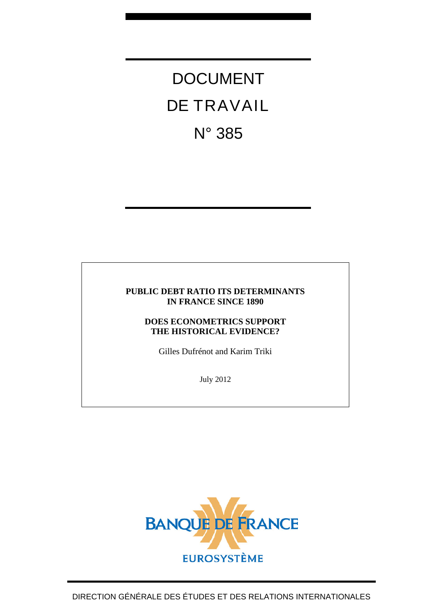DOCUMENT DE TRAVAIL N° 385

## **PUBLIC DEBT RATIO ITS DETERMINANTS IN FRANCE SINCE 1890**

## **DOES ECONOMETRICS SUPPORT THE HISTORICAL EVIDENCE?**

Gilles Dufrénot and Karim Triki

July 2012

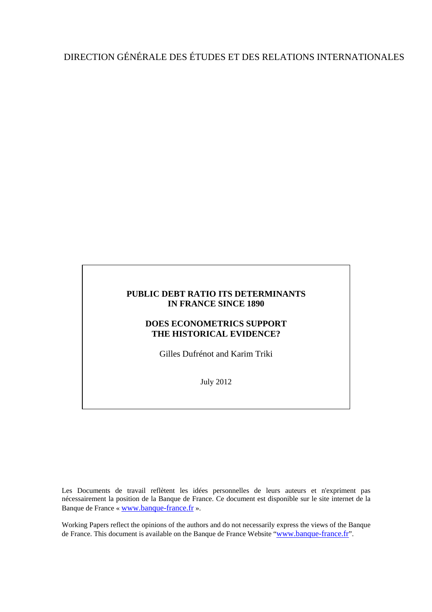# DIRECTION GÉNÉRALE DES ÉTUDES ET DES RELATIONS INTERNATIONALES

## **PUBLIC DEBT RATIO ITS DETERMINANTS IN FRANCE SINCE 1890**

## **DOES ECONOMETRICS SUPPORT THE HISTORICAL EVIDENCE?**

Gilles Dufrénot and Karim Triki

July 2012

Les Documents de travail reflètent les idées personnelles de leurs auteurs et n'expriment pas nécessairement la position de la Banque de France. Ce document est disponible sur le site internet de la Banque de France « [www.banque-france.fr](http://www.banque-france.fr/) ».

Working Papers reflect the opinions of the authors and do not necessarily express the views of the Banque de France. This document is available on the Banque de France Website "[www.banque-france.fr](http://www.banque-france.fr/)".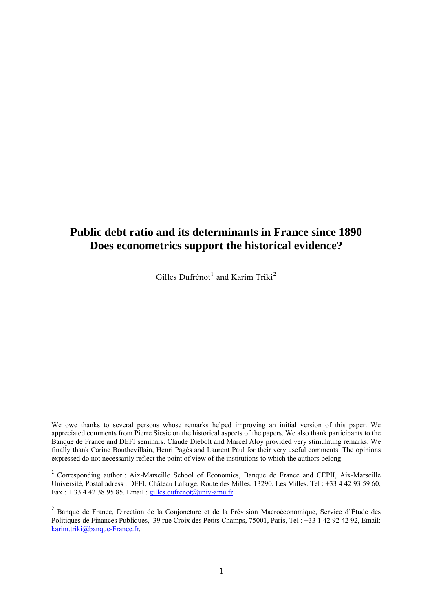## **Public debt ratio and its determinants in France since 1890 Does econometrics support the historical evidence?**

Gilles Dufrénot<sup>[1](#page-2-0)</sup> and Karim Triki<sup>[2](#page-2-1)</sup>

 $\overline{\phantom{a}}$ 

<span id="page-2-0"></span>We owe thanks to several persons whose remarks helped improving an initial version of this paper. We appreciated comments from Pierre Sicsic on the historical aspects of the papers. We also thank participants to the Banque de France and DEFI seminars. Claude Diebolt and Marcel Aloy provided very stimulating remarks. We finally thank Carine Bouthevillain, Henri Pagès and Laurent Paul for their very useful comments. The opinions expressed do not necessarily reflect the point of view of the institutions to which the authors belong.

<sup>1</sup> Corresponding author : Aix-Marseille School of Economics, Banque de France and CEPII, Aix-Marseille Université, Postal adress : DEFI, Château Lafarge, Route des Milles, 13290, Les Milles. Tel : +33 4 42 93 59 60, Fax :  $+ 33442389585$ . Email : [gilles.dufrenot@univ-amu.fr](mailto:gilles.dufrenot@univ-amu.fr)

<span id="page-2-1"></span><sup>2</sup> Banque de France, Direction de la Conjoncture et de la Prévision Macroéconomique, Service d'Étude des Politiques de Finances Publiques, 39 rue Croix des Petits Champs, 75001, Paris, Tel : +33 1 42 92 42 92, Email: [karim.triki@banque-France.fr](mailto:karim.triki@banque-France.fr).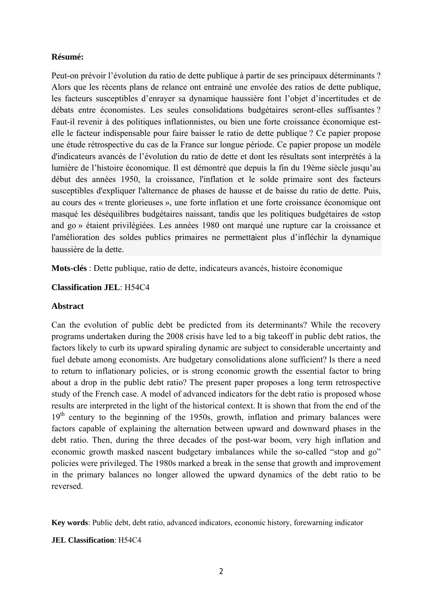## **Résumé:**

Peut-on prévoir l'évolution du ratio de dette publique à partir de ses principaux déterminants ? Alors que les récents plans de relance ont entrainé une envolée des ratios de dette publique, les facteurs susceptibles d'enrayer sa dynamique haussière font l'objet d'incertitudes et de débats entre économistes. Les seules consolidations budgétaires seront-elles suffisantes ? Faut-il revenir à des politiques inflationnistes, ou bien une forte croissance économique estelle le facteur indispensable pour faire baisser le ratio de dette publique ? Ce papier propose une étude rétrospective du cas de la France sur longue période. Ce papier propose un modèle d'indicateurs avancés de l'évolution du ratio de dette et dont les résultats sont interprétés à la lumière de l'histoire économique. Il est démontré que depuis la fin du 19ème siècle jusqu'au début des années 1950, la croissance, l'inflation et le solde primaire sont des facteurs susceptibles d'expliquer l'alternance de phases de hausse et de baisse du ratio de dette. Puis, au cours des « trente glorieuses », une forte inflation et une forte croissance économique ont masqué les déséquilibres budgétaires naissant, tandis que les politiques budgétaires de «stop and go » étaient privilégiées. Les années 1980 ont marqué une rupture car la croissance et l'amélioration des soldes publics primaires ne permettaient plus d'infléchir la dynamique haussière de la dette.

**Mots-clés** : Dette publique, ratio de dette, indicateurs avancés, histoire économique

## **Classification JEL**: H54C4

## **Abstract**

Can the evolution of public debt be predicted from its determinants? While the recovery programs undertaken during the 2008 crisis have led to a big takeoff in public debt ratios, the factors likely to curb its upward spiraling dynamic are subject to considerable uncertainty and fuel debate among economists. Are budgetary consolidations alone sufficient? Is there a need to return to inflationary policies, or is strong economic growth the essential factor to bring about a drop in the public debt ratio? The present paper proposes a long term retrospective study of the French case. A model of advanced indicators for the debt ratio is proposed whose results are interpreted in the light of the historical context. It is shown that from the end of the 19<sup>th</sup> century to the beginning of the 1950s, growth, inflation and primary balances were factors capable of explaining the alternation between upward and downward phases in the debt ratio. Then, during the three decades of the post-war boom, very high inflation and economic growth masked nascent budgetary imbalances while the so-called "stop and go" policies were privileged. The 1980s marked a break in the sense that growth and improvement in the primary balances no longer allowed the upward dynamics of the debt ratio to be reversed.

**Key words**: Public debt, debt ratio, advanced indicators, economic history, forewarning indicator

## **JEL Classification**: H54C4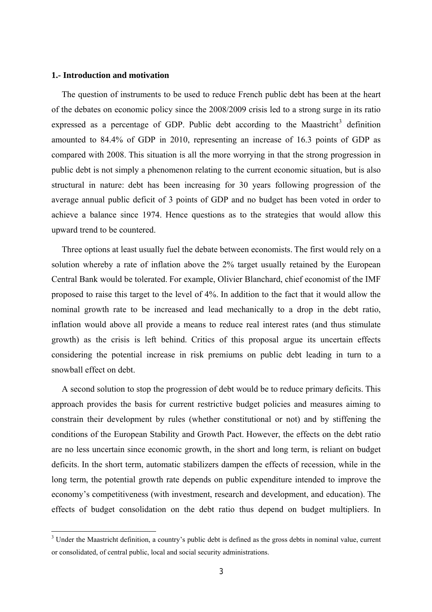#### <span id="page-4-0"></span>**1.- Introduction and motivation**

 $\overline{\phantom{a}}$ 

The question of instruments to be used to reduce French public debt has been at the heart of the debates on economic policy since the 2008/2009 crisis led to a strong surge in its ratio expressed as a percentage of GDP. Public debt according to the Maastricht<sup>[3](#page-4-0)</sup> definition amounted to 84.4% of GDP in 2010, representing an increase of 16.3 points of GDP as compared with 2008. This situation is all the more worrying in that the strong progression in public debt is not simply a phenomenon relating to the current economic situation, but is also structural in nature: debt has been increasing for 30 years following progression of the average annual public deficit of 3 points of GDP and no budget has been voted in order to achieve a balance since 1974. Hence questions as to the strategies that would allow this upward trend to be countered.

Three options at least usually fuel the debate between economists. The first would rely on a solution whereby a rate of inflation above the 2% target usually retained by the European Central Bank would be tolerated. For example, Olivier Blanchard, chief economist of the IMF proposed to raise this target to the level of 4%. In addition to the fact that it would allow the nominal growth rate to be increased and lead mechanically to a drop in the debt ratio, inflation would above all provide a means to reduce real interest rates (and thus stimulate growth) as the crisis is left behind. Critics of this proposal argue its uncertain effects considering the potential increase in risk premiums on public debt leading in turn to a snowball effect on debt.

A second solution to stop the progression of debt would be to reduce primary deficits. This approach provides the basis for current restrictive budget policies and measures aiming to constrain their development by rules (whether constitutional or not) and by stiffening the conditions of the European Stability and Growth Pact. However, the effects on the debt ratio are no less uncertain since economic growth, in the short and long term, is reliant on budget deficits. In the short term, automatic stabilizers dampen the effects of recession, while in the long term, the potential growth rate depends on public expenditure intended to improve the economy's competitiveness (with investment, research and development, and education). The effects of budget consolidation on the debt ratio thus depend on budget multipliers. In

 $3$  Under the Maastricht definition, a country's public debt is defined as the gross debts in nominal value, current or consolidated, of central public, local and social security administrations.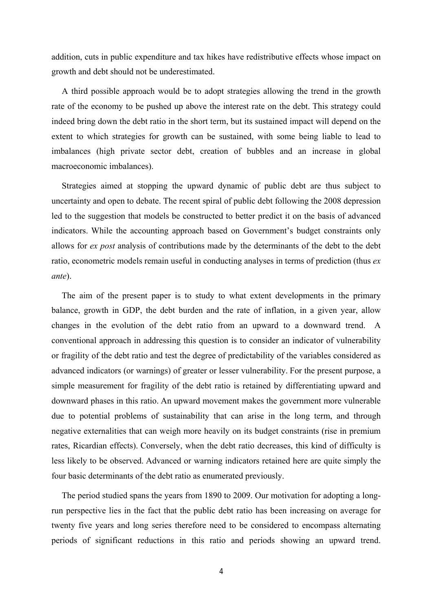addition, cuts in public expenditure and tax hikes have redistributive effects whose impact on growth and debt should not be underestimated.

A third possible approach would be to adopt strategies allowing the trend in the growth rate of the economy to be pushed up above the interest rate on the debt. This strategy could indeed bring down the debt ratio in the short term, but its sustained impact will depend on the extent to which strategies for growth can be sustained, with some being liable to lead to imbalances (high private sector debt, creation of bubbles and an increase in global macroeconomic imbalances).

Strategies aimed at stopping the upward dynamic of public debt are thus subject to uncertainty and open to debate. The recent spiral of public debt following the 2008 depression led to the suggestion that models be constructed to better predict it on the basis of advanced indicators. While the accounting approach based on Government's budget constraints only allows for *ex post* analysis of contributions made by the determinants of the debt to the debt ratio, econometric models remain useful in conducting analyses in terms of prediction (thus *ex ante*).

The aim of the present paper is to study to what extent developments in the primary balance, growth in GDP, the debt burden and the rate of inflation, in a given year, allow changes in the evolution of the debt ratio from an upward to a downward trend. A conventional approach in addressing this question is to consider an indicator of vulnerability or fragility of the debt ratio and test the degree of predictability of the variables considered as advanced indicators (or warnings) of greater or lesser vulnerability. For the present purpose, a simple measurement for fragility of the debt ratio is retained by differentiating upward and downward phases in this ratio. An upward movement makes the government more vulnerable due to potential problems of sustainability that can arise in the long term, and through negative externalities that can weigh more heavily on its budget constraints (rise in premium rates, Ricardian effects). Conversely, when the debt ratio decreases, this kind of difficulty is less likely to be observed. Advanced or warning indicators retained here are quite simply the four basic determinants of the debt ratio as enumerated previously.

The period studied spans the years from 1890 to 2009. Our motivation for adopting a longrun perspective lies in the fact that the public debt ratio has been increasing on average for twenty five years and long series therefore need to be considered to encompass alternating periods of significant reductions in this ratio and periods showing an upward trend.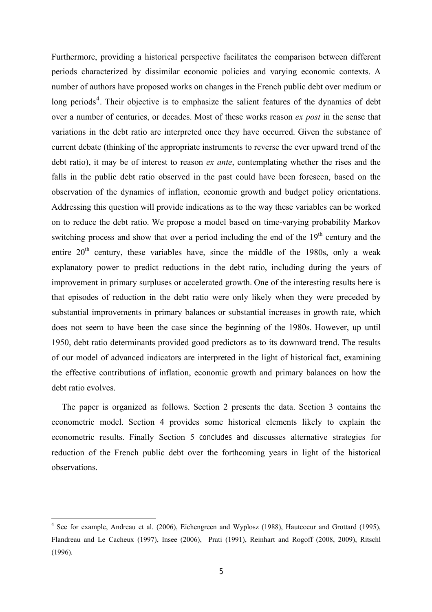<span id="page-6-0"></span>Furthermore, providing a historical perspective facilitates the comparison between different periods characterized by dissimilar economic policies and varying economic contexts. A number of authors have proposed works on changes in the French public debt over medium or long periods<sup>[4](#page-6-0)</sup>. Their objective is to emphasize the salient features of the dynamics of debt over a number of centuries, or decades. Most of these works reason *ex post* in the sense that variations in the debt ratio are interpreted once they have occurred. Given the substance of current debate (thinking of the appropriate instruments to reverse the ever upward trend of the debt ratio), it may be of interest to reason *ex ante*, contemplating whether the rises and the falls in the public debt ratio observed in the past could have been foreseen, based on the observation of the dynamics of inflation, economic growth and budget policy orientations. Addressing this question will provide indications as to the way these variables can be worked on to reduce the debt ratio. We propose a model based on time-varying probability Markov switching process and show that over a period including the end of the  $19<sup>th</sup>$  century and the entire  $20<sup>th</sup>$  century, these variables have, since the middle of the 1980s, only a weak explanatory power to predict reductions in the debt ratio, including during the years of improvement in primary surpluses or accelerated growth. One of the interesting results here is that episodes of reduction in the debt ratio were only likely when they were preceded by substantial improvements in primary balances or substantial increases in growth rate, which does not seem to have been the case since the beginning of the 1980s. However, up until 1950, debt ratio determinants provided good predictors as to its downward trend. The results of our model of advanced indicators are interpreted in the light of historical fact, examining the effective contributions of inflation, economic growth and primary balances on how the debt ratio evolves.

The paper is organized as follows. Section 2 presents the data. Section 3 contains the econometric model. Section 4 provides some historical elements likely to explain the econometric results. Finally Section 5 concludes and discusses alternative strategies for reduction of the French public debt over the forthcoming years in light of the historical observations.

 $\overline{\phantom{a}}$ 

<sup>&</sup>lt;sup>4</sup> See for example, Andreau et al. (2006), Eichengreen and Wyplosz (1988), Hautcoeur and Grottard (1995), Flandreau and Le Cacheux (1997), Insee (2006), Prati (1991), Reinhart and Rogoff (2008, 2009), Ritschl (1996).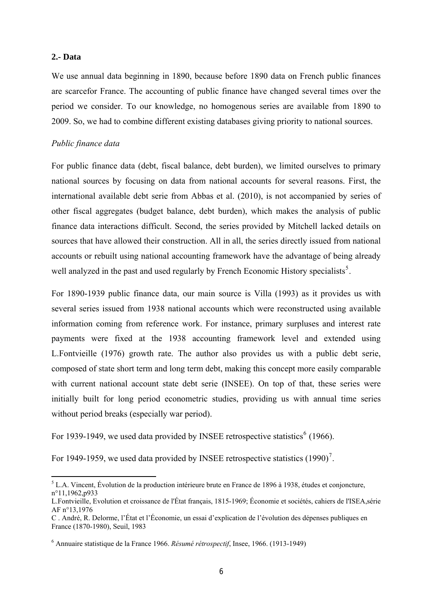### <span id="page-7-0"></span>**2.- Data**

 $\overline{\phantom{a}}$ 

We use annual data beginning in 1890, because before 1890 data on French public finances are scarcefor France. The accounting of public finance have changed several times over the period we consider. To our knowledge, no homogenous series are available from 1890 to 2009. So, we had to combine different existing databases giving priority to national sources.

### *Public finance data*

For public finance data (debt, fiscal balance, debt burden), we limited ourselves to primary national sources by focusing on data from national accounts for several reasons. First, the international available debt serie from Abbas et al. (2010), is not accompanied by series of other fiscal aggregates (budget balance, debt burden), which makes the analysis of public finance data interactions difficult. Second, the series provided by Mitchell lacked details on sources that have allowed their construction. All in all, the series directly issued from national accounts or rebuilt using national accounting framework have the advantage of being already well analyzed in the past and used regularly by French Economic History specialists<sup>[5](#page-7-0)</sup>.

For 1890-1939 public finance data, our main source is Villa (1993) as it provides us with several series issued from 1938 national accounts which were reconstructed using available information coming from reference work. For instance, primary surpluses and interest rate payments were fixed at the 1938 accounting framework level and extended using L.Fontvieille (1976) growth rate. The author also provides us with a public debt serie, composed of state short term and long term debt, making this concept more easily comparable with current national account state debt serie (INSEE). On top of that, these series were initially built for long period econometric studies, providing us with annual time series without period breaks (especially war period).

For 1939-1949, we used data provided by INSEE retrospective statistics<sup>[6](#page-7-0)</sup> (1966).

For 1949-1959, we used data provided by INSEE retrospective statistics  $(1990)^7$  $(1990)^7$ .

 $<sup>5</sup>$  L.A. Vincent, Évolution de la production intérieure brute en France de 1896 à 1938, études et conjoncture,</sup> n°11,1962,p933

L.Fontvieille, Evolution et croissance de l'État français, 1815-1969; Économie et sociétés, cahiers de l'ISEA,série AF n°13,1976

C . André, R. Delorme, l'État et l'Économie, un essai d'explication de l'évolution des dépenses publiques en France (1870-1980), Seuil, 1983

<sup>6</sup> Annuaire statistique de la France 1966. *Résumé rétrospectif*, Insee, 1966. (1913-1949)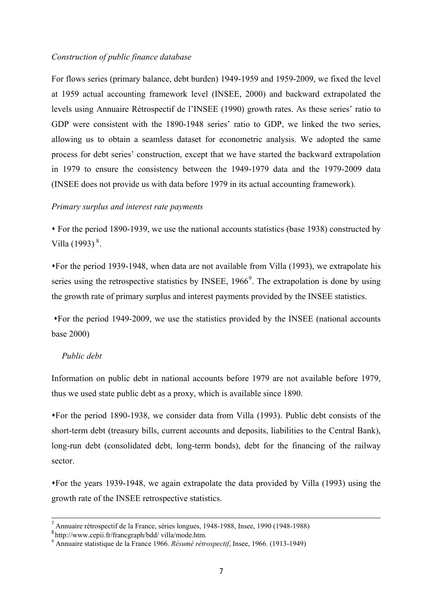### <span id="page-8-0"></span>*Construction of public finance database*

For flows series (primary balance, debt burden) 1949-1959 and 1959-2009, we fixed the level at 1959 actual accounting framework level (INSEE, 2000) and backward extrapolated the levels using Annuaire Rétrospectif de l'INSEE (1990) growth rates. As these series' ratio to GDP were consistent with the 1890-1948 series' ratio to GDP, we linked the two series, allowing us to obtain a seamless dataset for econometric analysis. We adopted the same process for debt series' construction, except that we have started the backward extrapolation in 1979 to ensure the consistency between the 1949-1979 data and the 1979-2009 data (INSEE does not provide us with data before 1979 in its actual accounting framework).

## *Primary surplus and interest rate payments*

 For the period 1890-1939, we use the national accounts statistics (base 1938) constructed by Villa  $(1993)^8$  $(1993)^8$ .

For the period 1939-1948, when data are not available from Villa (1993), we extrapolate his series using the retrospective statistics by INSEE,  $1966^9$  $1966^9$  $1966^9$ . The extrapolation is done by using the growth rate of primary surplus and interest payments provided by the INSEE statistics.

For the period 1949-2009, we use the statistics provided by the INSEE (national accounts base 2000)

## *Public debt*

 $\overline{a}$ 

Information on public debt in national accounts before 1979 are not available before 1979, thus we used state public debt as a proxy, which is available since 1890.

For the period 1890-1938, we consider data from Villa (1993). Public debt consists of the short-term debt (treasury bills, current accounts and deposits, liabilities to the Central Bank), long-run debt (consolidated debt, long-term bonds), debt for the financing of the railway sector.

For the years 1939-1948, we again extrapolate the data provided by Villa (1993) using the growth rate of the INSEE retrospective statistics.

 $8$ <http://www.cepii.fr/francgraph/bdd/>villa/mode.htm.

<sup>7</sup> Annuaire rétrospectif de la France, séries longues, 1948-1988, Insee, 1990 (1948-1988)

Annuaire statistique de la France 1966. *Résumé rétrospectif*, Insee, 1966. (1913-1949)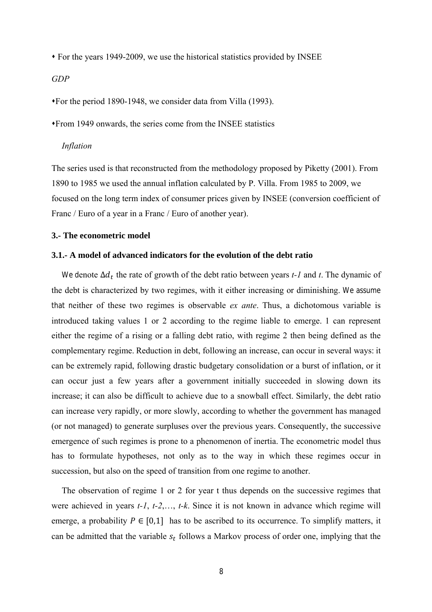For the years 1949-2009, we use the historical statistics provided by INSEE

### *GDP*

For the period 1890-1948, we consider data from Villa (1993).

From 1949 onwards, the series come from the INSEE statistics

#### *Inflation*

The series used is that reconstructed from the methodology proposed by Piketty (2001). From 1890 to 1985 we used the annual inflation calculated by P. Villa. From 1985 to 2009, we focused on the long term index of consumer prices given by INSEE (conversion coefficient of Franc / Euro of a year in a Franc / Euro of another year).

## **3.- The econometric model**

#### **3.1.- A model of advanced indicators for the evolution of the debt ratio**

We denote Δd<sub>t</sub> the rate of growth of the debt ratio between years *t*-1 and *t*. The dynamic of the debt is characterized by two regimes, with it either increasing or diminishing. We assume that neither of these two regimes is observable *ex ante*. Thus, a dichotomous variable is introduced taking values 1 or 2 according to the regime liable to emerge. 1 can represent either the regime of a rising or a falling debt ratio, with regime 2 then being defined as the complementary regime. Reduction in debt, following an increase, can occur in several ways: it can be extremely rapid, following drastic budgetary consolidation or a burst of inflation, or it can occur just a few years after a government initially succeeded in slowing down its increase; it can also be difficult to achieve due to a snowball effect. Similarly, the debt ratio can increase very rapidly, or more slowly, according to whether the government has managed (or not managed) to generate surpluses over the previous years. Consequently, the successive emergence of such regimes is prone to a phenomenon of inertia. The econometric model thus has to formulate hypotheses, not only as to the way in which these regimes occur in succession, but also on the speed of transition from one regime to another.

The observation of regime 1 or 2 for year t thus depends on the successive regimes that were achieved in years *t-1*, *t-2*,…, *t-k*. Since it is not known in advance which regime will emerge, a probability  $P \in [0,1]$  has to be ascribed to its occurrence. To simplify matters, it can be admitted that the variable  $s_t$  follows a Markov process of order one, implying that the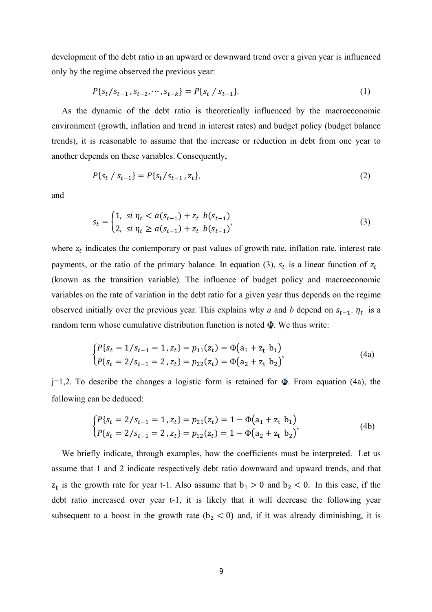development of the debt ratio in an upward or downward trend over a given year is influenced only by the regime observed the previous year:

$$
P\{s_t/s_{t-1}, s_{t-2}, \cdots, s_{t-k}\} = P\{s_t / s_{t-1}\}.
$$
 (1)

As the dynamic of the debt ratio is theoretically influenced by the macroeconomic environment (growth, inflation and trend in interest rates) and budget policy (budget balance trends), it is reasonable to assume that the increase or reduction in debt from one year to another depends on these variables. Consequently,

$$
P\{s_t \mid s_{t-1}\} = P\{s_t \mid s_{t-1}, z_t\},\tag{2}
$$

and

$$
s_t = \begin{cases} 1, & \text{si } \eta_t < a(s_{t-1}) + z_t \ b(s_{t-1}) \\ 2, & \text{si } \eta_t \ge a(s_{t-1}) + z_t \ b(s_{t-1}) \end{cases} \tag{3}
$$

where  $z_t$  indicates the contemporary or past values of growth rate, inflation rate, interest rate payments, or the ratio of the primary balance. In equation (3),  $s_t$  is a linear function of  $z_t$ (known as the transition variable). The influence of budget policy and macroeconomic variables on the rate of variation in the debt ratio for a given year thus depends on the regime observed initially over the previous year. This explains why *a* and *b* depend on  $s_{t-1}$ .  $\eta_t$  is a random term whose cumulative distribution function is noted  $\Phi$ . We thus write:

$$
\begin{cases} P\{s_t = 1/s_{t-1} = 1, z_t\} = p_{11}(z_t) = \Phi(a_1 + z_t \ b_1) \\ P\{s_t = 2/s_{t-1} = 2, z_t\} = p_{22}(z_t) = \Phi(a_2 + z_t \ b_2) \end{cases}
$$
(4a)

 $j=1,2$ . To describe the changes a logistic form is retained for  $\Phi$ . From equation (4a), the following can be deduced:

$$
\begin{cases}\nP\{s_t = 2/s_{t-1} = 1, z_t\} = p_{21}(z_t) = 1 - \Phi(a_1 + z_t \ b_1) \\
P\{s_t = 2/s_{t-1} = 2, z_t\} = p_{12}(z_t) = 1 - \Phi(a_2 + z_t \ b_2)\n\end{cases} \tag{4b}
$$

We briefly indicate, through examples, how the coefficients must be interpreted. Let us assume that 1 and 2 indicate respectively debt ratio downward and upward trends, and that  $z_t$  is the growth rate for year t-1. Also assume that  $b_1 > 0$  and  $b_2 < 0$ . In this case, if the debt ratio increased over year t-1, it is likely that it will decrease the following year subsequent to a boost in the growth rate ( $b<sub>2</sub> < 0$ ) and, if it was already diminishing, it is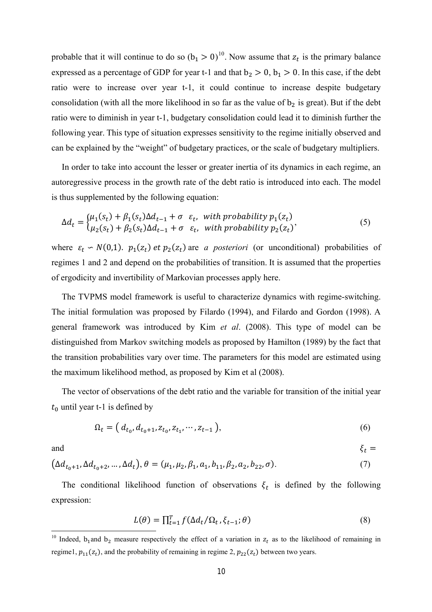<span id="page-11-0"></span>probable that it will continue to do so  $(b_1 > 0)^{10}$  $(b_1 > 0)^{10}$  $(b_1 > 0)^{10}$ . Now assume that  $z_t$  is the primary balance expressed as a percentage of GDP for year t-1 and that  $b_2 > 0$ ,  $b_1 > 0$ . In this case, if the debt ratio were to increase over year t-1, it could continue to increase despite budgetary consolidation (with all the more likelihood in so far as the value of  $b<sub>2</sub>$  is great). But if the debt ratio were to diminish in year t-1, budgetary consolidation could lead it to diminish further the following year. This type of situation expresses sensitivity to the regime initially observed and can be explained by the "weight" of budgetary practices, or the scale of budgetary multipliers.

In order to take into account the lesser or greater inertia of its dynamics in each regime, an autoregressive process in the growth rate of the debt ratio is introduced into each. The model is thus supplemented by the following equation:

$$
\Delta d_t = \begin{cases} \mu_1(s_t) + \beta_1(s_t) \Delta d_{t-1} + \sigma \ \varepsilon_t, & \text{with probability } p_1(z_t) \\ \mu_2(s_t) + \beta_2(s_t) \Delta d_{t-1} + \sigma \ \varepsilon_t, & \text{with probability } p_2(z_t) \end{cases} \tag{5}
$$

where  $\varepsilon_t \sim N(0,1)$ .  $p_1(z_t)$  *et*  $p_2(z_t)$  are *a posteriori* (or unconditional) probabilities of regimes 1 and 2 and depend on the probabilities of transition. It is assumed that the properties of ergodicity and invertibility of Markovian processes apply here.

The TVPMS model framework is useful to characterize dynamics with regime-switching. The initial formulation was proposed by Filardo (1994), and Filardo and Gordon (1998). A general framework was introduced by Kim *et al*. (2008). This type of model can be distinguished from Markov switching models as proposed by Hamilton (1989) by the fact that the transition probabilities vary over time. The parameters for this model are estimated using the maximum likelihood method, as proposed by Kim et al (2008).

The vector of observations of the debt ratio and the variable for transition of the initial year  $t_0$  until year t-1 is defined by

$$
\Omega_t = (d_{t_0}, d_{t_0+1}, z_{t_0}, z_{t_1}, \cdots, z_{t-1}),
$$
\n(6)

and  $\xi_t =$ 

 $\overline{a}$ 

$$
(\Delta d_{t_0+1}, \Delta d_{t_0+2}, \dots, \Delta d_t), \theta = (\mu_1, \mu_2, \beta_1, a_1, b_{11}, \beta_2, a_2, b_{22}, \sigma).
$$
\n(7)

The conditional likelihood function of observations  $\xi_t$  is defined by the following expression:

$$
L(\theta) = \prod_{t=1}^{T} f(\Delta d_t / \Omega_t, \xi_{t-1}; \theta)
$$
\n(8)

<sup>&</sup>lt;sup>10</sup> Indeed, b<sub>1</sub> and b<sub>2</sub> measure respectively the effect of a variation in  $z_t$  as to the likelihood of remaining in regime1,  $p_{11}(z_t)$ , and the probability of remaining in regime 2,  $p_{22}(z_t)$  between two years.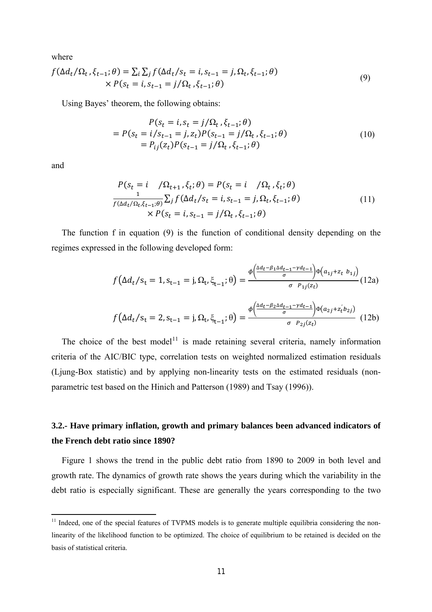<span id="page-12-0"></span>where

$$
f(\Delta d_t/\Omega_t, \xi_{t-1}; \theta) = \sum_i \sum_j f(\Delta d_t/s_t = i, s_{t-1} = j, \Omega_t, \xi_{t-1}; \theta)
$$
  
 
$$
\times P(s_t = i, s_{t-1} = j/\Omega_t, \xi_{t-1}; \theta)
$$
 (9)

Using Bayes' theorem, the following obtains:

$$
P(s_t = i, s_t = j/\Omega_t, \xi_{t-1}; \theta)
$$
  
=  $P(s_t = i/s_{t-1} = j, z_t)P(s_{t-1} = j/\Omega_t, \xi_{t-1}; \theta)$   
=  $P_{ij}(z_t)P(s_{t-1} = j/\Omega_t, \xi_{t-1}; \theta)$  (10)

and

 $\overline{\phantom{a}}$ 

$$
P(s_t = i \quad / \Omega_{t+1}, \xi_t; \theta) = P(s_t = i \quad / \Omega_t, \xi_t; \theta)
$$
  

$$
\frac{1}{f(\Delta d_t / \Omega_t, \xi_{t-1}; \theta)} \sum_j f(\Delta d_t / s_t = i, s_{t-1} = j, \Omega_t, \xi_{t-1}; \theta)
$$
  

$$
\times P(s_t = i, s_{t-1} = j / \Omega_t, \xi_{t-1}; \theta)
$$
 (11)

The function f in equation (9) is the function of conditional density depending on the regimes expressed in the following developed form:

$$
f(\Delta d_t / s_t = 1, s_{t-1} = j, \Omega_t, \xi_{t-1}; \theta) = \frac{\phi\left(\frac{\Delta d_t - \beta_1 \Delta d_{t-1} - \gamma d_{t-1}}{\sigma}\right) \phi\left(a_{1j} + z_t \ b_{1j}\right)}{\sigma \ P_{1j}(z_t)} (12a)
$$

$$
f(\Delta d_t / s_t = 2, s_{t-1} = j, \Omega_t, \xi_{t-1}; \theta) = \frac{\phi\left(\frac{\Delta d_t - \beta_2 \Delta d_{t-1} - \gamma d_{t-1}}{\sigma}\right) \phi\left(a_{2j} + z_t' b_{2j}\right)}{\sigma \ P_{2j}(z_t)} (12b)
$$

The choice of the best model<sup>[11](#page-12-0)</sup> is made retaining several criteria, namely information criteria of the AIC/BIC type, correlation tests on weighted normalized estimation residuals (Ljung-Box statistic) and by applying non-linearity tests on the estimated residuals (nonparametric test based on the Hinich and Patterson (1989) and Tsay (1996)).

## **3.2.- Have primary inflation, growth and primary balances been advanced indicators of the French debt ratio since 1890?**

Figure 1 shows the trend in the public debt ratio from 1890 to 2009 in both level and growth rate. The dynamics of growth rate shows the years during which the variability in the debt ratio is especially significant. These are generally the years corresponding to the two

<sup>&</sup>lt;sup>11</sup> Indeed, one of the special features of TVPMS models is to generate multiple equilibria considering the nonlinearity of the likelihood function to be optimized. The choice of equilibrium to be retained is decided on the basis of statistical criteria.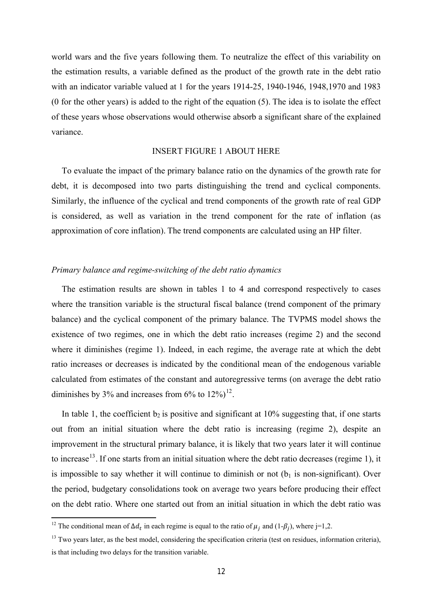<span id="page-13-0"></span>world wars and the five years following them. To neutralize the effect of this variability on the estimation results, a variable defined as the product of the growth rate in the debt ratio with an indicator variable valued at 1 for the years 1914-25, 1940-1946, 1948,1970 and 1983 (0 for the other years) is added to the right of the equation (5). The idea is to isolate the effect of these years whose observations would otherwise absorb a significant share of the explained variance.

### INSERT FIGURE 1 ABOUT HERE

To evaluate the impact of the primary balance ratio on the dynamics of the growth rate for debt, it is decomposed into two parts distinguishing the trend and cyclical components. Similarly, the influence of the cyclical and trend components of the growth rate of real GDP is considered, as well as variation in the trend component for the rate of inflation (as approximation of core inflation). The trend components are calculated using an HP filter.

## *Primary balance and regime-switching of the debt ratio dynamics*

The estimation results are shown in tables 1 to 4 and correspond respectively to cases where the transition variable is the structural fiscal balance (trend component of the primary balance) and the cyclical component of the primary balance. The TVPMS model shows the existence of two regimes, one in which the debt ratio increases (regime 2) and the second where it diminishes (regime 1). Indeed, in each regime, the average rate at which the debt ratio increases or decreases is indicated by the conditional mean of the endogenous variable calculated from estimates of the constant and autoregressive terms (on average the debt ratio diminishes by 3% and increases from  $6\%$  to  $12\%)^{12}$  $12\%)^{12}$ .

In table 1, the coefficient  $b_2$  is positive and significant at 10% suggesting that, if one starts out from an initial situation where the debt ratio is increasing (regime 2), despite an improvement in the structural primary balance, it is likely that two years later it will continue to increase<sup>[13](#page-13-0)</sup>. If one starts from an initial situation where the debt ratio decreases (regime 1), it is impossible to say whether it will continue to diminish or not  $(b<sub>1</sub>$  is non-significant). Over the period, budgetary consolidations took on average two years before producing their effect on the debt ratio. Where one started out from an initial situation in which the debt ratio was

 $\overline{\phantom{a}}$ 

<sup>&</sup>lt;sup>12</sup> The conditional mean of  $\Delta d_t$  in each regime is equal to the ratio of  $\mu_j$  and (1- $\beta_j$ ), where j=1,2.

<sup>&</sup>lt;sup>13</sup> Two years later, as the best model, considering the specification criteria (test on residues, information criteria), is that including two delays for the transition variable.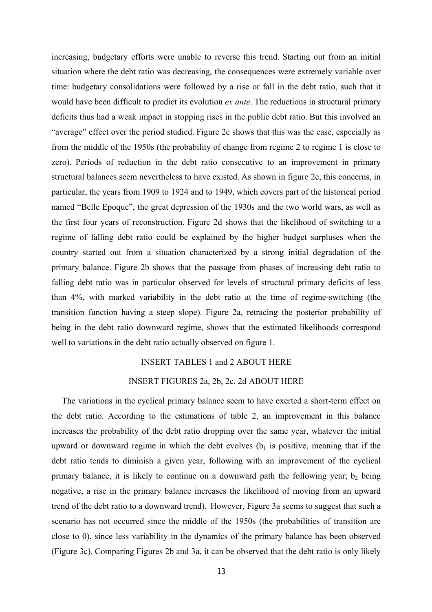increasing, budgetary efforts were unable to reverse this trend. Starting out from an initial situation where the debt ratio was decreasing, the consequences were extremely variable over time: budgetary consolidations were followed by a rise or fall in the debt ratio, such that it would have been difficult to predict its evolution *ex ante*. The reductions in structural primary deficits thus had a weak impact in stopping rises in the public debt ratio. But this involved an "average" effect over the period studied. Figure 2c shows that this was the case, especially as from the middle of the 1950s (the probability of change from regime 2 to regime 1 is close to zero). Periods of reduction in the debt ratio consecutive to an improvement in primary structural balances seem nevertheless to have existed. As shown in figure 2c, this concerns, in particular, the years from 1909 to 1924 and to 1949, which covers part of the historical period named "Belle Epoque", the great depression of the 1930s and the two world wars, as well as the first four years of reconstruction. Figure 2d shows that the likelihood of switching to a regime of falling debt ratio could be explained by the higher budget surpluses when the country started out from a situation characterized by a strong initial degradation of the primary balance. Figure 2b shows that the passage from phases of increasing debt ratio to falling debt ratio was in particular observed for levels of structural primary deficits of less than 4%, with marked variability in the debt ratio at the time of regime-switching (the transition function having a steep slope). Figure 2a, retracing the posterior probability of being in the debt ratio downward regime, shows that the estimated likelihoods correspond well to variations in the debt ratio actually observed on figure 1.

## INSERT TABLES 1 and 2 ABOUT HERE

#### INSERT FIGURES 2a, 2b, 2c, 2d ABOUT HERE

The variations in the cyclical primary balance seem to have exerted a short-term effect on the debt ratio. According to the estimations of table 2, an improvement in this balance increases the probability of the debt ratio dropping over the same year, whatever the initial upward or downward regime in which the debt evolves  $(b_1)$  is positive, meaning that if the debt ratio tends to diminish a given year, following with an improvement of the cyclical primary balance, it is likely to continue on a downward path the following year;  $b_2$  being negative, a rise in the primary balance increases the likelihood of moving from an upward trend of the debt ratio to a downward trend). However, Figure 3a seems to suggest that such a scenario has not occurred since the middle of the 1950s (the probabilities of transition are close to 0), since less variability in the dynamics of the primary balance has been observed (Figure 3c). Comparing Figures 2b and 3a, it can be observed that the debt ratio is only likely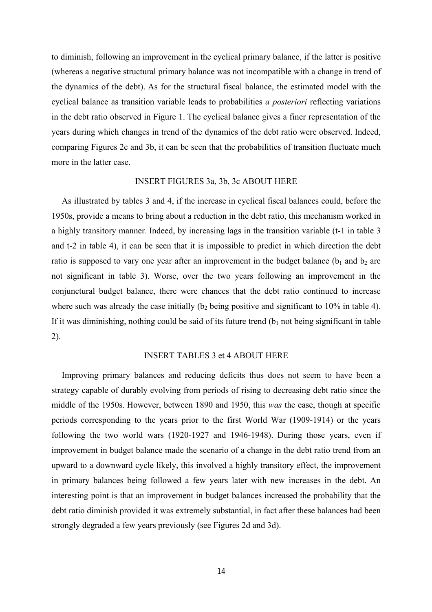to diminish, following an improvement in the cyclical primary balance, if the latter is positive (whereas a negative structural primary balance was not incompatible with a change in trend of the dynamics of the debt). As for the structural fiscal balance, the estimated model with the cyclical balance as transition variable leads to probabilities *a posteriori* reflecting variations in the debt ratio observed in Figure 1. The cyclical balance gives a finer representation of the years during which changes in trend of the dynamics of the debt ratio were observed. Indeed, comparing Figures 2c and 3b, it can be seen that the probabilities of transition fluctuate much more in the latter case.

#### INSERT FIGURES 3a, 3b, 3c ABOUT HERE

As illustrated by tables 3 and 4, if the increase in cyclical fiscal balances could, before the 1950s, provide a means to bring about a reduction in the debt ratio, this mechanism worked in a highly transitory manner. Indeed, by increasing lags in the transition variable (t-1 in table 3 and t-2 in table 4), it can be seen that it is impossible to predict in which direction the debt ratio is supposed to vary one year after an improvement in the budget balance ( $b_1$  and  $b_2$  are not significant in table 3). Worse, over the two years following an improvement in the conjunctural budget balance, there were chances that the debt ratio continued to increase where such was already the case initially ( $b_2$  being positive and significant to 10% in table 4). If it was diminishing, nothing could be said of its future trend  $(b<sub>1</sub>$  not being significant in table 2).

### INSERT TABLES 3 et 4 ABOUT HERE

Improving primary balances and reducing deficits thus does not seem to have been a strategy capable of durably evolving from periods of rising to decreasing debt ratio since the middle of the 1950s. However, between 1890 and 1950, this *was* the case, though at specific periods corresponding to the years prior to the first World War (1909-1914) or the years following the two world wars (1920-1927 and 1946-1948). During those years, even if improvement in budget balance made the scenario of a change in the debt ratio trend from an upward to a downward cycle likely, this involved a highly transitory effect, the improvement in primary balances being followed a few years later with new increases in the debt. An interesting point is that an improvement in budget balances increased the probability that the debt ratio diminish provided it was extremely substantial, in fact after these balances had been strongly degraded a few years previously (see Figures 2d and 3d).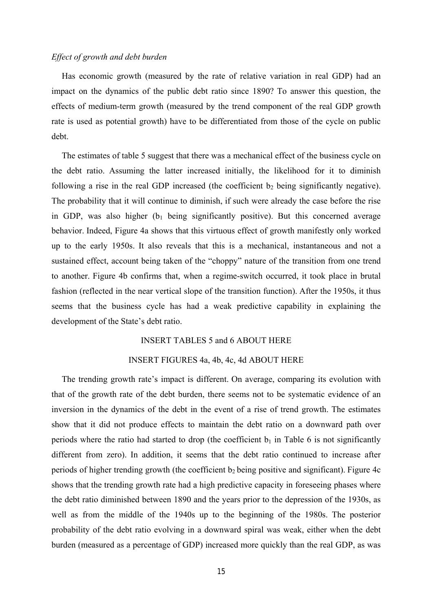## *Effect of growth and debt burden*

Has economic growth (measured by the rate of relative variation in real GDP) had an impact on the dynamics of the public debt ratio since 1890? To answer this question, the effects of medium-term growth (measured by the trend component of the real GDP growth rate is used as potential growth) have to be differentiated from those of the cycle on public debt.

The estimates of table 5 suggest that there was a mechanical effect of the business cycle on the debt ratio. Assuming the latter increased initially, the likelihood for it to diminish following a rise in the real GDP increased (the coefficient  $b_2$  being significantly negative). The probability that it will continue to diminish, if such were already the case before the rise in GDP, was also higher  $(b_1)$  being significantly positive). But this concerned average behavior. Indeed, Figure 4a shows that this virtuous effect of growth manifestly only worked up to the early 1950s. It also reveals that this is a mechanical, instantaneous and not a sustained effect, account being taken of the "choppy" nature of the transition from one trend to another. Figure 4b confirms that, when a regime-switch occurred, it took place in brutal fashion (reflected in the near vertical slope of the transition function). After the 1950s, it thus seems that the business cycle has had a weak predictive capability in explaining the development of the State's debt ratio.

#### INSERT TABLES 5 and 6 ABOUT HERE

#### INSERT FIGURES 4a, 4b, 4c, 4d ABOUT HERE

The trending growth rate's impact is different. On average, comparing its evolution with that of the growth rate of the debt burden, there seems not to be systematic evidence of an inversion in the dynamics of the debt in the event of a rise of trend growth. The estimates show that it did not produce effects to maintain the debt ratio on a downward path over periods where the ratio had started to drop (the coefficient  $b_1$  in Table 6 is not significantly different from zero). In addition, it seems that the debt ratio continued to increase after periods of higher trending growth (the coefficient  $b_2$  being positive and significant). Figure 4c shows that the trending growth rate had a high predictive capacity in foreseeing phases where the debt ratio diminished between 1890 and the years prior to the depression of the 1930s, as well as from the middle of the 1940s up to the beginning of the 1980s. The posterior probability of the debt ratio evolving in a downward spiral was weak, either when the debt burden (measured as a percentage of GDP) increased more quickly than the real GDP, as was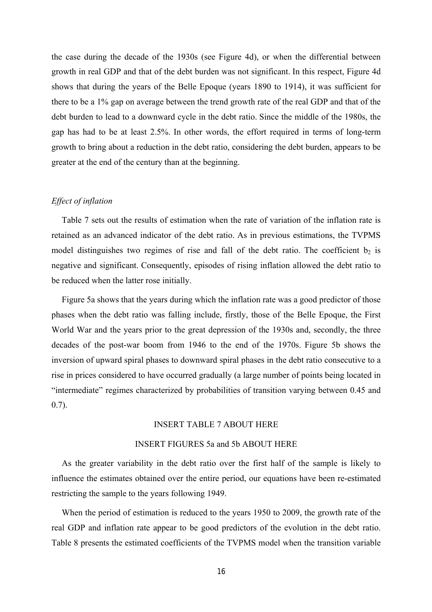the case during the decade of the 1930s (see Figure 4d), or when the differential between growth in real GDP and that of the debt burden was not significant. In this respect, Figure 4d shows that during the years of the Belle Epoque (years 1890 to 1914), it was sufficient for there to be a 1% gap on average between the trend growth rate of the real GDP and that of the debt burden to lead to a downward cycle in the debt ratio. Since the middle of the 1980s, the gap has had to be at least 2.5%. In other words, the effort required in terms of long-term growth to bring about a reduction in the debt ratio, considering the debt burden, appears to be greater at the end of the century than at the beginning.

### *Effect of inflation*

Table 7 sets out the results of estimation when the rate of variation of the inflation rate is retained as an advanced indicator of the debt ratio. As in previous estimations, the TVPMS model distinguishes two regimes of rise and fall of the debt ratio. The coefficient  $b_2$  is negative and significant. Consequently, episodes of rising inflation allowed the debt ratio to be reduced when the latter rose initially.

Figure 5a shows that the years during which the inflation rate was a good predictor of those phases when the debt ratio was falling include, firstly, those of the Belle Epoque, the First World War and the years prior to the great depression of the 1930s and, secondly, the three decades of the post-war boom from 1946 to the end of the 1970s. Figure 5b shows the inversion of upward spiral phases to downward spiral phases in the debt ratio consecutive to a rise in prices considered to have occurred gradually (a large number of points being located in "intermediate" regimes characterized by probabilities of transition varying between 0.45 and 0.7).

#### INSERT TABLE 7 ABOUT HERE

## INSERT FIGURES 5a and 5b ABOUT HERE

As the greater variability in the debt ratio over the first half of the sample is likely to influence the estimates obtained over the entire period, our equations have been re-estimated restricting the sample to the years following 1949.

When the period of estimation is reduced to the years 1950 to 2009, the growth rate of the real GDP and inflation rate appear to be good predictors of the evolution in the debt ratio. Table 8 presents the estimated coefficients of the TVPMS model when the transition variable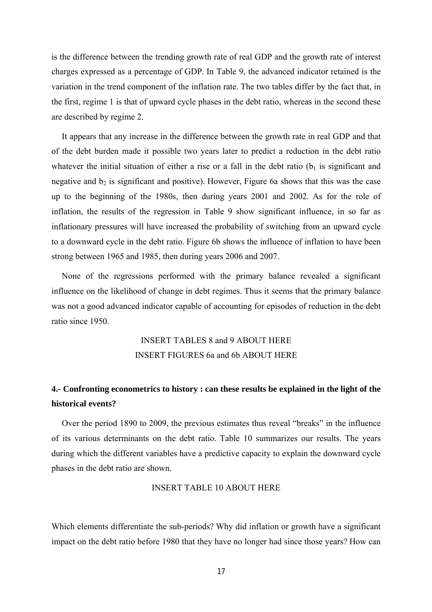is the difference between the trending growth rate of real GDP and the growth rate of interest charges expressed as a percentage of GDP. In Table 9, the advanced indicator retained is the variation in the trend component of the inflation rate. The two tables differ by the fact that, in the first, regime 1 is that of upward cycle phases in the debt ratio, whereas in the second these are described by regime 2.

It appears that any increase in the difference between the growth rate in real GDP and that of the debt burden made it possible two years later to predict a reduction in the debt ratio whatever the initial situation of either a rise or a fall in the debt ratio ( $b_1$  is significant and negative and  $b_2$  is significant and positive). However, Figure 6a shows that this was the case up to the beginning of the 1980s, then during years 2001 and 2002. As for the role of inflation, the results of the regression in Table 9 show significant influence, in so far as inflationary pressures will have increased the probability of switching from an upward cycle to a downward cycle in the debt ratio. Figure 6b shows the influence of inflation to have been strong between 1965 and 1985, then during years 2006 and 2007.

None of the regressions performed with the primary balance revealed a significant influence on the likelihood of change in debt regimes. Thus it seems that the primary balance was not a good advanced indicator capable of accounting for episodes of reduction in the debt ratio since 1950.

## INSERT TABLES 8 and 9 ABOUT HERE INSERT FIGURES 6a and 6b ABOUT HERE

## **4.- Confronting econometrics to history : can these results be explained in the light of the historical events?**

Over the period 1890 to 2009, the previous estimates thus reveal "breaks" in the influence of its various determinants on the debt ratio. Table 10 summarizes our results. The years during which the different variables have a predictive capacity to explain the downward cycle phases in the debt ratio are shown.

## INSERT TABLE 10 ABOUT HERE

Which elements differentiate the sub-periods? Why did inflation or growth have a significant impact on the debt ratio before 1980 that they have no longer had since those years? How can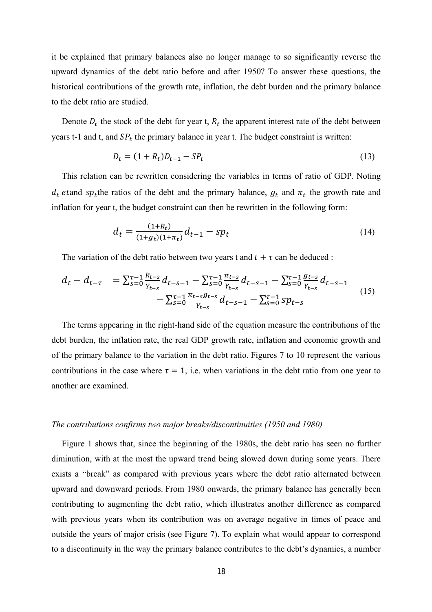it be explained that primary balances also no longer manage to so significantly reverse the upward dynamics of the debt ratio before and after 1950? To answer these questions, the historical contributions of the growth rate, inflation, the debt burden and the primary balance to the debt ratio are studied.

Denote  $D_t$  the stock of the debt for year t,  $R_t$  the apparent interest rate of the debt between years t-1 and t, and  $SP<sub>t</sub>$  the primary balance in year t. The budget constraint is written:

$$
D_t = (1 + R_t)D_{t-1} - SP_t
$$
\n(13)

This relation can be rewritten considering the variables in terms of ratio of GDP. Noting  $d_t$  etand sp<sub>t</sub> the ratios of the debt and the primary balance,  $g_t$  and  $\pi_t$  the growth rate and inflation for year t, the budget constraint can then be rewritten in the following form:

$$
d_t = \frac{(1+R_t)}{(1+g_t)(1+\pi_t)} d_{t-1} - sp_t
$$
\n(14)

The variation of the debt ratio between two years t and  $t + \tau$  can be deduced :

$$
d_t - d_{t-\tau} = \sum_{s=0}^{\tau-1} \frac{R_{t-s}}{\gamma_{t-s}} d_{t-s-1} - \sum_{s=0}^{\tau-1} \frac{\pi_{t-s}}{\gamma_{t-s}} d_{t-s-1} - \sum_{s=0}^{\tau-1} \frac{g_{t-s}}{\gamma_{t-s}} d_{t-s-1}
$$
  
- 
$$
\sum_{s=0}^{\tau-1} \frac{\pi_{t-s} g_{t-s}}{\gamma_{t-s}} d_{t-s-1} - \sum_{s=0}^{\tau-1} s p_{t-s}
$$
 (15)

The terms appearing in the right-hand side of the equation measure the contributions of the debt burden, the inflation rate, the real GDP growth rate, inflation and economic growth and of the primary balance to the variation in the debt ratio. Figures 7 to 10 represent the various contributions in the case where  $\tau = 1$ , i.e. when variations in the debt ratio from one year to another are examined.

#### *The contributions confirms two major breaks/discontinuities (1950 and 1980)*

Figure 1 shows that, since the beginning of the 1980s, the debt ratio has seen no further diminution, with at the most the upward trend being slowed down during some years. There exists a "break" as compared with previous years where the debt ratio alternated between upward and downward periods. From 1980 onwards, the primary balance has generally been contributing to augmenting the debt ratio, which illustrates another difference as compared with previous years when its contribution was on average negative in times of peace and outside the years of major crisis (see Figure 7). To explain what would appear to correspond to a discontinuity in the way the primary balance contributes to the debt's dynamics, a number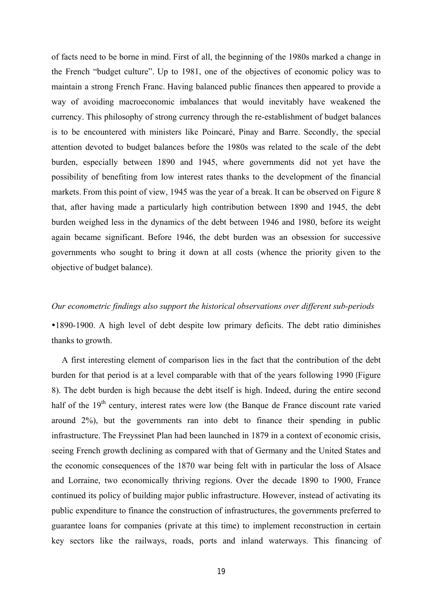of facts need to be borne in mind. First of all, the beginning of the 1980s marked a change in the French "budget culture". Up to 1981, one of the objectives of economic policy was to maintain a strong French Franc. Having balanced public finances then appeared to provide a way of avoiding macroeconomic imbalances that would inevitably have weakened the currency. This philosophy of strong currency through the re-establishment of budget balances is to be encountered with ministers like Poincaré, Pinay and Barre. Secondly, the special attention devoted to budget balances before the 1980s was related to the scale of the debt burden, especially between 1890 and 1945, where governments did not yet have the possibility of benefiting from low interest rates thanks to the development of the financial markets. From this point of view, 1945 was the year of a break. It can be observed on Figure 8 that, after having made a particularly high contribution between 1890 and 1945, the debt burden weighed less in the dynamics of the debt between 1946 and 1980, before its weight again became significant. Before 1946, the debt burden was an obsession for successive governments who sought to bring it down at all costs (whence the priority given to the objective of budget balance).

## *Our econometric findings also support the historical observations over different sub-periods*

y1890-1900. A high level of debt despite low primary deficits. The debt ratio diminishes thanks to growth.

A first interesting element of comparison lies in the fact that the contribution of the debt burden for that period is at a level comparable with that of the years following 1990 (Figure 8). The debt burden is high because the debt itself is high. Indeed, during the entire second half of the  $19<sup>th</sup>$  century, interest rates were low (the Banque de France discount rate varied around 2%), but the governments ran into debt to finance their spending in public infrastructure. The Freyssinet Plan had been launched in 1879 in a context of economic crisis, seeing French growth declining as compared with that of Germany and the United States and the economic consequences of the 1870 war being felt with in particular the loss of Alsace and Lorraine, two economically thriving regions. Over the decade 1890 to 1900, France continued its policy of building major public infrastructure. However, instead of activating its public expenditure to finance the construction of infrastructures, the governments preferred to guarantee loans for companies (private at this time) to implement reconstruction in certain key sectors like the railways, roads, ports and inland waterways. This financing of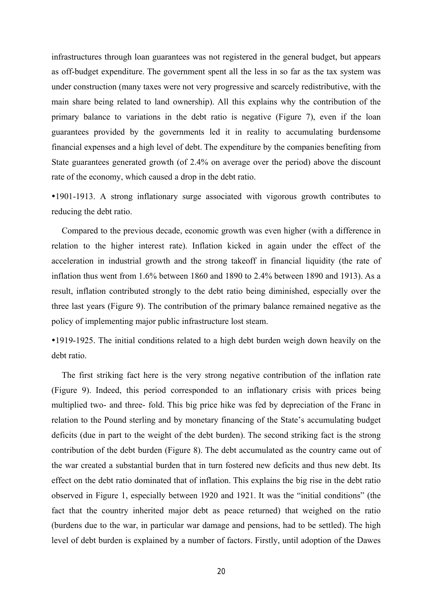infrastructures through loan guarantees was not registered in the general budget, but appears as off-budget expenditure. The government spent all the less in so far as the tax system was under construction (many taxes were not very progressive and scarcely redistributive, with the main share being related to land ownership). All this explains why the contribution of the primary balance to variations in the debt ratio is negative (Figure 7), even if the loan guarantees provided by the governments led it in reality to accumulating burdensome financial expenses and a high level of debt. The expenditure by the companies benefiting from State guarantees generated growth (of 2.4% on average over the period) above the discount rate of the economy, which caused a drop in the debt ratio.

y1901-1913. A strong inflationary surge associated with vigorous growth contributes to reducing the debt ratio.

Compared to the previous decade, economic growth was even higher (with a difference in relation to the higher interest rate). Inflation kicked in again under the effect of the acceleration in industrial growth and the strong takeoff in financial liquidity (the rate of inflation thus went from 1.6% between 1860 and 1890 to 2.4% between 1890 and 1913). As a result, inflation contributed strongly to the debt ratio being diminished, especially over the three last years (Figure 9). The contribution of the primary balance remained negative as the policy of implementing major public infrastructure lost steam.

•1919-1925. The initial conditions related to a high debt burden weigh down heavily on the debt ratio.

The first striking fact here is the very strong negative contribution of the inflation rate (Figure 9). Indeed, this period corresponded to an inflationary crisis with prices being multiplied two- and three- fold. This big price hike was fed by depreciation of the Franc in relation to the Pound sterling and by monetary financing of the State's accumulating budget deficits (due in part to the weight of the debt burden). The second striking fact is the strong contribution of the debt burden (Figure 8). The debt accumulated as the country came out of the war created a substantial burden that in turn fostered new deficits and thus new debt. Its effect on the debt ratio dominated that of inflation. This explains the big rise in the debt ratio observed in Figure 1, especially between 1920 and 1921. It was the "initial conditions" (the fact that the country inherited major debt as peace returned) that weighed on the ratio (burdens due to the war, in particular war damage and pensions, had to be settled). The high level of debt burden is explained by a number of factors. Firstly, until adoption of the Dawes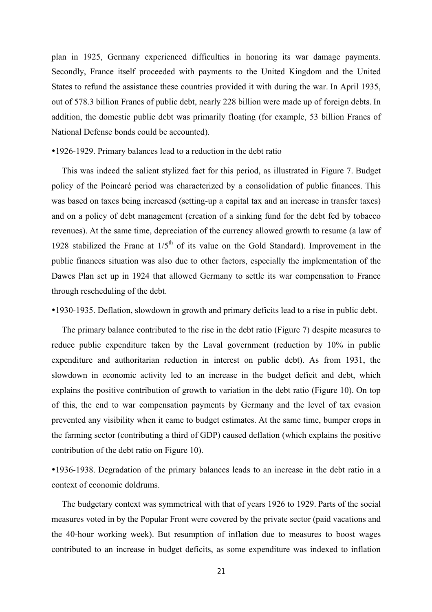plan in 1925, Germany experienced difficulties in honoring its war damage payments. Secondly, France itself proceeded with payments to the United Kingdom and the United States to refund the assistance these countries provided it with during the war. In April 1935, out of 578.3 billion Francs of public debt, nearly 228 billion were made up of foreign debts. In addition, the domestic public debt was primarily floating (for example, 53 billion Francs of National Defense bonds could be accounted).

#### y1926-1929. Primary balances lead to a reduction in the debt ratio

This was indeed the salient stylized fact for this period, as illustrated in Figure 7. Budget policy of the Poincaré period was characterized by a consolidation of public finances. This was based on taxes being increased (setting-up a capital tax and an increase in transfer taxes) and on a policy of debt management (creation of a sinking fund for the debt fed by tobacco revenues). At the same time, depreciation of the currency allowed growth to resume (a law of 1928 stabilized the Franc at  $1/5<sup>th</sup>$  of its value on the Gold Standard). Improvement in the public finances situation was also due to other factors, especially the implementation of the Dawes Plan set up in 1924 that allowed Germany to settle its war compensation to France through rescheduling of the debt.

y1930-1935. Deflation, slowdown in growth and primary deficits lead to a rise in public debt.

The primary balance contributed to the rise in the debt ratio (Figure 7) despite measures to reduce public expenditure taken by the Laval government (reduction by 10% in public expenditure and authoritarian reduction in interest on public debt). As from 1931, the slowdown in economic activity led to an increase in the budget deficit and debt, which explains the positive contribution of growth to variation in the debt ratio (Figure 10). On top of this, the end to war compensation payments by Germany and the level of tax evasion prevented any visibility when it came to budget estimates. At the same time, bumper crops in the farming sector (contributing a third of GDP) caused deflation (which explains the positive contribution of the debt ratio on Figure 10).

y1936-1938. Degradation of the primary balances leads to an increase in the debt ratio in a context of economic doldrums.

The budgetary context was symmetrical with that of years 1926 to 1929. Parts of the social measures voted in by the Popular Front were covered by the private sector (paid vacations and the 40-hour working week). But resumption of inflation due to measures to boost wages contributed to an increase in budget deficits, as some expenditure was indexed to inflation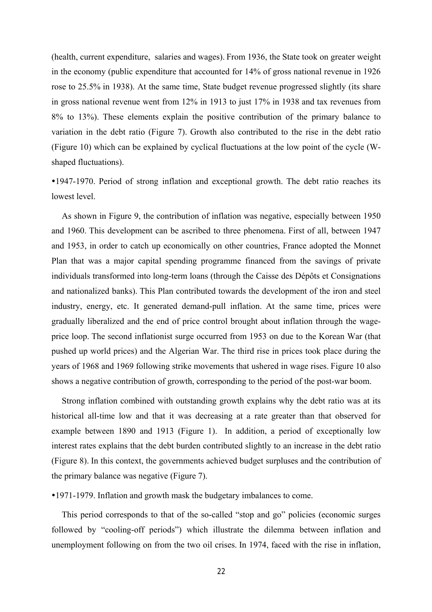(health, current expenditure, salaries and wages). From 1936, the State took on greater weight in the economy (public expenditure that accounted for 14% of gross national revenue in 1926 rose to 25.5% in 1938). At the same time, State budget revenue progressed slightly (its share in gross national revenue went from 12% in 1913 to just 17% in 1938 and tax revenues from 8% to 13%). These elements explain the positive contribution of the primary balance to variation in the debt ratio (Figure 7). Growth also contributed to the rise in the debt ratio (Figure 10) which can be explained by cyclical fluctuations at the low point of the cycle (Wshaped fluctuations).

y1947-1970. Period of strong inflation and exceptional growth. The debt ratio reaches its lowest level.

As shown in Figure 9, the contribution of inflation was negative, especially between 1950 and 1960. This development can be ascribed to three phenomena. First of all, between 1947 and 1953, in order to catch up economically on other countries, France adopted the Monnet Plan that was a major capital spending programme financed from the savings of private individuals transformed into long-term loans (through the Caisse des Dépôts et Consignations and nationalized banks). This Plan contributed towards the development of the iron and steel industry, energy, etc. It generated demand-pull inflation. At the same time, prices were gradually liberalized and the end of price control brought about inflation through the wageprice loop. The second inflationist surge occurred from 1953 on due to the Korean War (that pushed up world prices) and the Algerian War. The third rise in prices took place during the years of 1968 and 1969 following strike movements that ushered in wage rises. Figure 10 also shows a negative contribution of growth, corresponding to the period of the post-war boom.

Strong inflation combined with outstanding growth explains why the debt ratio was at its historical all-time low and that it was decreasing at a rate greater than that observed for example between 1890 and 1913 (Figure 1). In addition, a period of exceptionally low interest rates explains that the debt burden contributed slightly to an increase in the debt ratio (Figure 8). In this context, the governments achieved budget surpluses and the contribution of the primary balance was negative (Figure 7).

y1971-1979. Inflation and growth mask the budgetary imbalances to come.

This period corresponds to that of the so-called "stop and go" policies (economic surges followed by "cooling-off periods") which illustrate the dilemma between inflation and unemployment following on from the two oil crises. In 1974, faced with the rise in inflation,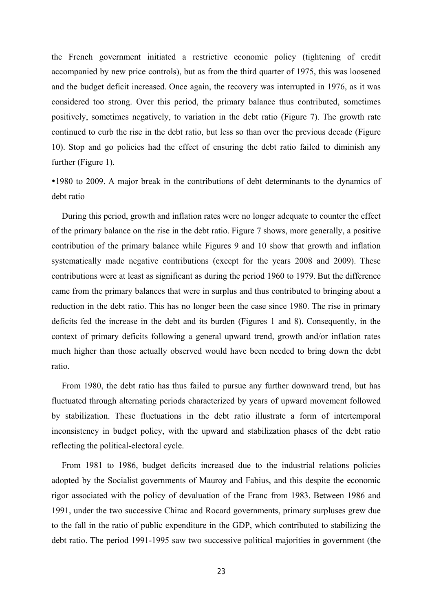the French government initiated a restrictive economic policy (tightening of credit accompanied by new price controls), but as from the third quarter of 1975, this was loosened and the budget deficit increased. Once again, the recovery was interrupted in 1976, as it was considered too strong. Over this period, the primary balance thus contributed, sometimes positively, sometimes negatively, to variation in the debt ratio (Figure 7). The growth rate continued to curb the rise in the debt ratio, but less so than over the previous decade (Figure 10). Stop and go policies had the effect of ensuring the debt ratio failed to diminish any further (Figure 1).

y1980 to 2009. A major break in the contributions of debt determinants to the dynamics of debt ratio

 During this period, growth and inflation rates were no longer adequate to counter the effect of the primary balance on the rise in the debt ratio. Figure 7 shows, more generally, a positive contribution of the primary balance while Figures 9 and 10 show that growth and inflation systematically made negative contributions (except for the years 2008 and 2009). These contributions were at least as significant as during the period 1960 to 1979. But the difference came from the primary balances that were in surplus and thus contributed to bringing about a reduction in the debt ratio. This has no longer been the case since 1980. The rise in primary deficits fed the increase in the debt and its burden (Figures 1 and 8). Consequently, in the context of primary deficits following a general upward trend, growth and/or inflation rates much higher than those actually observed would have been needed to bring down the debt ratio.

From 1980, the debt ratio has thus failed to pursue any further downward trend, but has fluctuated through alternating periods characterized by years of upward movement followed by stabilization. These fluctuations in the debt ratio illustrate a form of intertemporal inconsistency in budget policy, with the upward and stabilization phases of the debt ratio reflecting the political-electoral cycle.

From 1981 to 1986, budget deficits increased due to the industrial relations policies adopted by the Socialist governments of Mauroy and Fabius, and this despite the economic rigor associated with the policy of devaluation of the Franc from 1983. Between 1986 and 1991, under the two successive Chirac and Rocard governments, primary surpluses grew due to the fall in the ratio of public expenditure in the GDP, which contributed to stabilizing the debt ratio. The period 1991-1995 saw two successive political majorities in government (the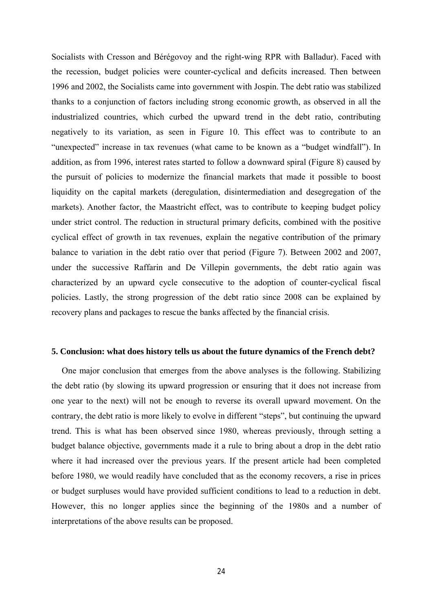Socialists with Cresson and Bérégovoy and the right-wing RPR with Balladur). Faced with the recession, budget policies were counter-cyclical and deficits increased. Then between 1996 and 2002, the Socialists came into government with Jospin. The debt ratio was stabilized thanks to a conjunction of factors including strong economic growth, as observed in all the industrialized countries, which curbed the upward trend in the debt ratio, contributing negatively to its variation, as seen in Figure 10. This effect was to contribute to an "unexpected" increase in tax revenues (what came to be known as a "budget windfall"). In addition, as from 1996, interest rates started to follow a downward spiral (Figure 8) caused by the pursuit of policies to modernize the financial markets that made it possible to boost liquidity on the capital markets (deregulation, disintermediation and desegregation of the markets). Another factor, the Maastricht effect, was to contribute to keeping budget policy under strict control. The reduction in structural primary deficits, combined with the positive cyclical effect of growth in tax revenues, explain the negative contribution of the primary balance to variation in the debt ratio over that period (Figure 7). Between 2002 and 2007, under the successive Raffarin and De Villepin governments, the debt ratio again was characterized by an upward cycle consecutive to the adoption of counter-cyclical fiscal policies. Lastly, the strong progression of the debt ratio since 2008 can be explained by recovery plans and packages to rescue the banks affected by the financial crisis.

#### **5. Conclusion: what does history tells us about the future dynamics of the French debt?**

One major conclusion that emerges from the above analyses is the following. Stabilizing the debt ratio (by slowing its upward progression or ensuring that it does not increase from one year to the next) will not be enough to reverse its overall upward movement. On the contrary, the debt ratio is more likely to evolve in different "steps", but continuing the upward trend. This is what has been observed since 1980, whereas previously, through setting a budget balance objective, governments made it a rule to bring about a drop in the debt ratio where it had increased over the previous years. If the present article had been completed before 1980, we would readily have concluded that as the economy recovers, a rise in prices or budget surpluses would have provided sufficient conditions to lead to a reduction in debt. However, this no longer applies since the beginning of the 1980s and a number of interpretations of the above results can be proposed.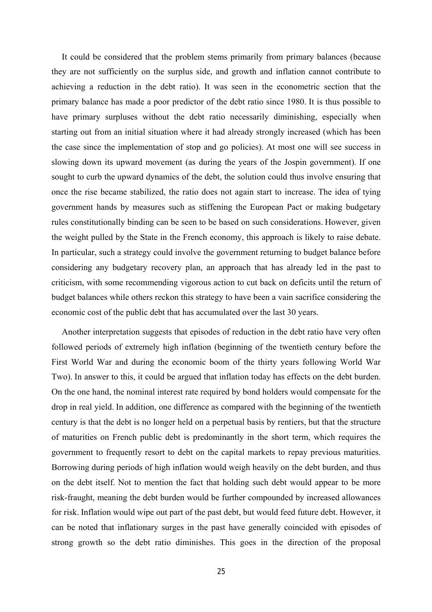It could be considered that the problem stems primarily from primary balances (because they are not sufficiently on the surplus side, and growth and inflation cannot contribute to achieving a reduction in the debt ratio). It was seen in the econometric section that the primary balance has made a poor predictor of the debt ratio since 1980. It is thus possible to have primary surpluses without the debt ratio necessarily diminishing, especially when starting out from an initial situation where it had already strongly increased (which has been the case since the implementation of stop and go policies). At most one will see success in slowing down its upward movement (as during the years of the Jospin government). If one sought to curb the upward dynamics of the debt, the solution could thus involve ensuring that once the rise became stabilized, the ratio does not again start to increase. The idea of tying government hands by measures such as stiffening the European Pact or making budgetary rules constitutionally binding can be seen to be based on such considerations. However, given the weight pulled by the State in the French economy, this approach is likely to raise debate. In particular, such a strategy could involve the government returning to budget balance before considering any budgetary recovery plan, an approach that has already led in the past to criticism, with some recommending vigorous action to cut back on deficits until the return of budget balances while others reckon this strategy to have been a vain sacrifice considering the economic cost of the public debt that has accumulated over the last 30 years.

Another interpretation suggests that episodes of reduction in the debt ratio have very often followed periods of extremely high inflation (beginning of the twentieth century before the First World War and during the economic boom of the thirty years following World War Two). In answer to this, it could be argued that inflation today has effects on the debt burden. On the one hand, the nominal interest rate required by bond holders would compensate for the drop in real yield. In addition, one difference as compared with the beginning of the twentieth century is that the debt is no longer held on a perpetual basis by rentiers, but that the structure of maturities on French public debt is predominantly in the short term, which requires the government to frequently resort to debt on the capital markets to repay previous maturities. Borrowing during periods of high inflation would weigh heavily on the debt burden, and thus on the debt itself. Not to mention the fact that holding such debt would appear to be more risk-fraught, meaning the debt burden would be further compounded by increased allowances for risk. Inflation would wipe out part of the past debt, but would feed future debt. However, it can be noted that inflationary surges in the past have generally coincided with episodes of strong growth so the debt ratio diminishes. This goes in the direction of the proposal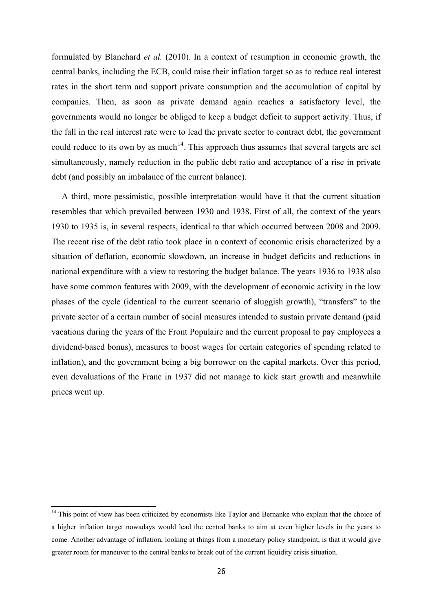<span id="page-27-0"></span>formulated by Blanchard *et al.* (2010). In a context of resumption in economic growth, the central banks, including the ECB, could raise their inflation target so as to reduce real interest rates in the short term and support private consumption and the accumulation of capital by companies. Then, as soon as private demand again reaches a satisfactory level, the governments would no longer be obliged to keep a budget deficit to support activity. Thus, if the fall in the real interest rate were to lead the private sector to contract debt, the government could reduce to its own by as much<sup>[14](#page-27-0)</sup>. This approach thus assumes that several targets are set simultaneously, namely reduction in the public debt ratio and acceptance of a rise in private debt (and possibly an imbalance of the current balance).

A third, more pessimistic, possible interpretation would have it that the current situation resembles that which prevailed between 1930 and 1938. First of all, the context of the years 1930 to 1935 is, in several respects, identical to that which occurred between 2008 and 2009. The recent rise of the debt ratio took place in a context of economic crisis characterized by a situation of deflation, economic slowdown, an increase in budget deficits and reductions in national expenditure with a view to restoring the budget balance. The years 1936 to 1938 also have some common features with 2009, with the development of economic activity in the low phases of the cycle (identical to the current scenario of sluggish growth), "transfers" to the private sector of a certain number of social measures intended to sustain private demand (paid vacations during the years of the Front Populaire and the current proposal to pay employees a dividend-based bonus), measures to boost wages for certain categories of spending related to inflation), and the government being a big borrower on the capital markets. Over this period, even devaluations of the Franc in 1937 did not manage to kick start growth and meanwhile prices went up.

 $\overline{\phantom{a}}$ 

<sup>&</sup>lt;sup>14</sup> This point of view has been criticized by economists like Taylor and Bernanke who explain that the choice of a higher inflation target nowadays would lead the central banks to aim at even higher levels in the years to come. Another advantage of inflation, looking at things from a monetary policy standpoint, is that it would give greater room for maneuver to the central banks to break out of the current liquidity crisis situation.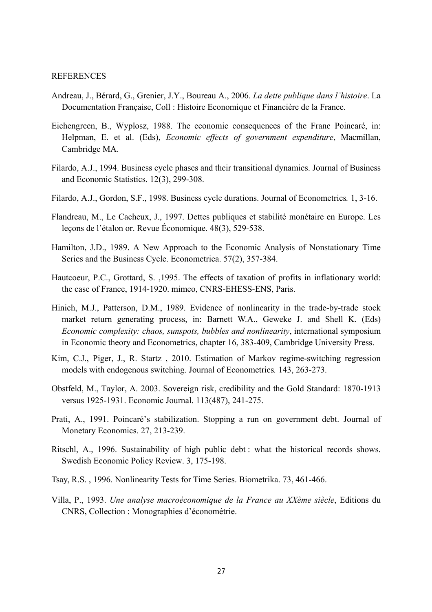#### REFERENCES

- Andreau, J., Bérard, G., Grenier, J.Y., Boureau A., 2006. *La dette publique dans l'histoire*. La Documentation Française, Coll : Histoire Economique et Financière de la France.
- Eichengreen, B., Wyplosz, 1988. The economic consequences of the Franc Poincaré, in: Helpman, E. et al. (Eds), *Economic effects of government expenditure*, Macmillan, Cambridge MA.
- Filardo, A.J., 1994. Business cycle phases and their transitional dynamics. Journal of Business and Economic Statistics. 12(3), 299-308.
- Filardo, A.J., Gordon, S.F., 1998. Business cycle durations. Journal of Econometrics*.* 1, 3-16.
- Flandreau, M., Le Cacheux, J., 1997. Dettes publiques et stabilité monétaire en Europe. Les lecons de l'étalon or. Revue Économique. 48(3), 529-538.
- Hamilton, J.D., 1989. A New Approach to the Economic Analysis of Nonstationary Time Series and the Business Cycle. Econometrica. 57(2), 357-384.
- Hautcoeur, P.C., Grottard, S. ,1995. The effects of taxation of profits in inflationary world: the case of France, 1914-1920. mimeo, CNRS-EHESS-ENS, Paris.
- Hinich, M.J., Patterson, D.M., 1989. Evidence of nonlinearity in the trade-by-trade stock market return generating process, in: Barnett W.A., Geweke J. and Shell K. (Eds) *Economic complexity: chaos, sunspots, bubbles and nonlinearity*, international symposium in Economic theory and Econometrics, chapter 16, 383-409, Cambridge University Press.
- Kim, C.J., Piger, J., R. Startz , 2010. Estimation of Markov regime-switching regression models with endogenous switching. Journal of Econometrics*.* 143, 263-273.
- Obstfeld, M., Taylor, A. 2003. Sovereign risk, credibility and the Gold Standard: 1870-1913 versus 1925-1931. Economic Journal. 113(487), 241-275.
- Prati, A., 1991. Poincaré's stabilization. Stopping a run on government debt. Journal of Monetary Economics. 27, 213-239.
- Ritschl, A., 1996. Sustainability of high public debt : what the historical records shows. Swedish Economic Policy Review. 3, 175-198.
- Tsay, R.S. , 1996. Nonlinearity Tests for Time Series. Biometrika. 73, 461-466.
- Villa, P., 1993. *Une analyse macroéconomique de la France au XXème siècle*, Editions du CNRS, Collection : Monographies d'économétrie.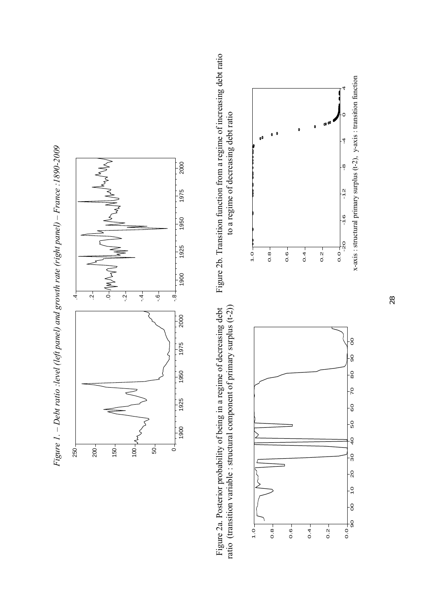



ratio (transition variable : structural component of primary surplus (t-2)) ratio (transition variable : structural component of primary surplus (t-2)) Figure 2a. Posterior probability of being in a regime of decreasing debt Figure 2a. Posterior probability of being in a regime of decreasing debt



Figure 2b. Transition function from a regime of increasing debt ratio Figure 2b. Transition function from a regime of increasing debt ratio to a regime of decreasing debt ratio to a regime of decreasing debt ratio

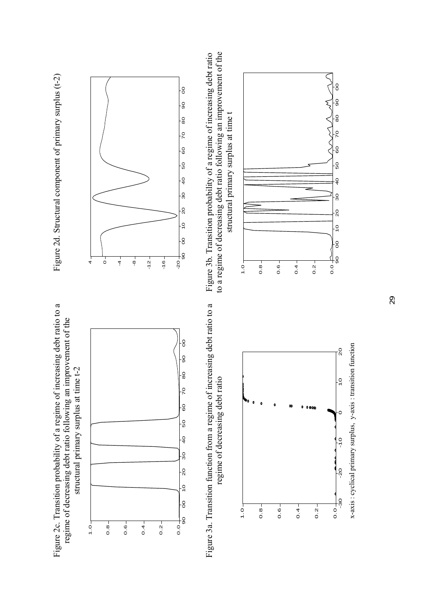

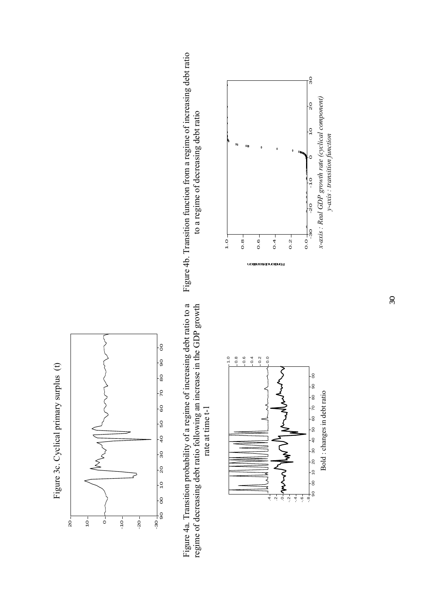



Figure 4a. Transition probability of a regime of increasing debt ratio to a Figure 4a. Transition probability of a regime of increasing debt ratio to a regime of decreasing debt ratio following an increase in the GDP growth regime of decreasing debt ratio following an increase in the GDP growth rate at time t-1 rate at time t-1







30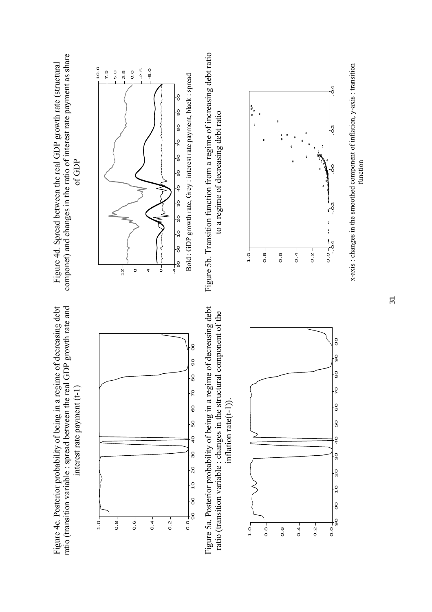



Figure 5a. Posterior probability of being in a regime of decreasing debt Figure 5a. Posterior probability of being in a regime of decreasing debt ratio (transition variable : changes in the structural component of the ratio (transition variable : changes in the structural component of the inflation rate(t-1)). inflation  $rate(t-1)$ ).



componet) and changes in the ratio of interest rate payment as share componet) and changes in the ratio of interest rate payment as share Figure 4d. Spread between the real GDP growth rate (structural Figure 4d. Spread between the real GDP growth rate (structural of GDP



Figure 5b. Transition function from a regime of increasing debt ratio Figure 5b. Transition function from a regime of increasing debt ratio to a regime of decreasing debt ratio to a regime of decreasing debt ratio



x-axis : changes in the smoothed component of inflation, y-axis : transition x-axis : changes in the smoothed component of inflation, y-axis : transition function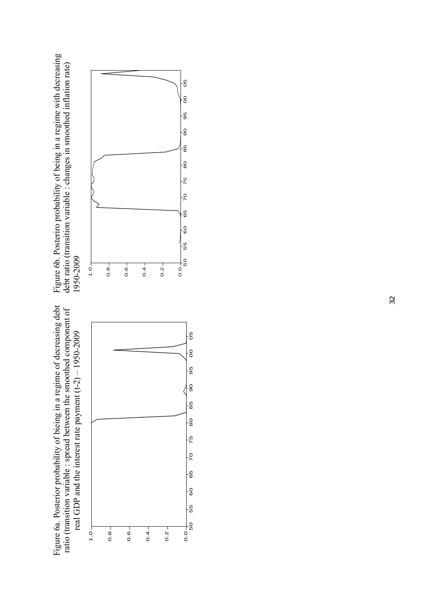Figure 6a. Posterior probability of bieing in a regime of decreasing debt ratio (transition variable : spread between the smoothed component of Figure 6a. Posterior probability of bieing in a regime of decreasing debt ratio (transition variable : spread between the smoothed component of real GDP and the interest rate payment (t-2) - 1950-2009 real GDP and the interest rate payment (t-2) – 1950-2009



Figure 6b. Posteriro probability of being in a regime with decreasing<br>debt ratio (transition variable : changes in smoothed inflation rate) Figure 6b. Posteriro probability of being in a regime with decreasing debt ratio (transition variable : changes in smoothed inflation rate) 1950-2009 1950-2009

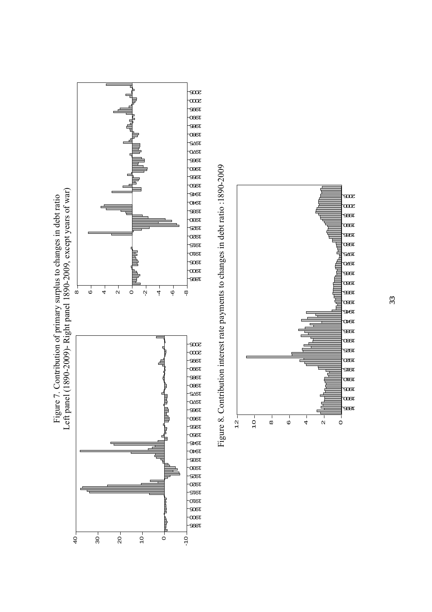



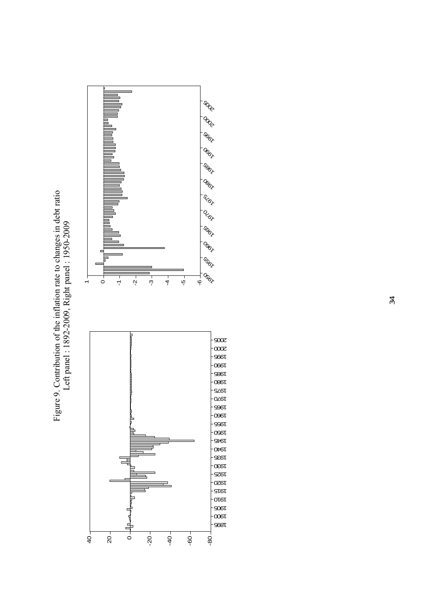



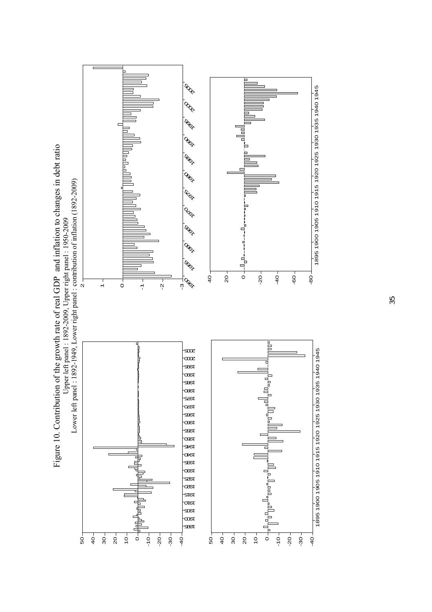

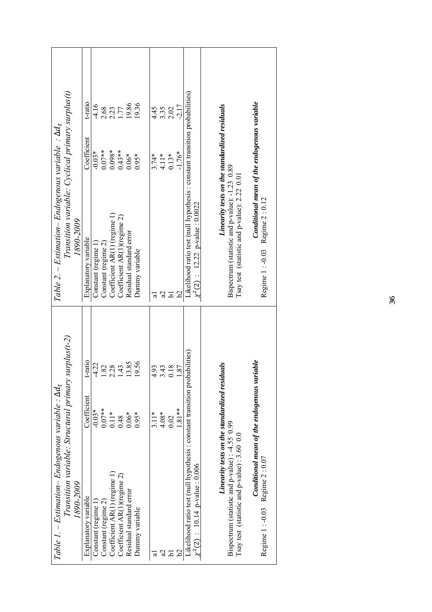| Table 1. – Estimation– Endogenous variable : $\Delta d_t$                                                          |                                               |            | Table 2. – Estimation– Endogenous variable : $\Delta d_t$                                                           |                                               |         |
|--------------------------------------------------------------------------------------------------------------------|-----------------------------------------------|------------|---------------------------------------------------------------------------------------------------------------------|-----------------------------------------------|---------|
| Transition variable: Structural primary surplus(t-2)                                                               |                                               |            | Transition variable: Cyclical primary surplus(t)                                                                    |                                               |         |
| 1890-2009                                                                                                          |                                               |            | 1890-2009                                                                                                           |                                               |         |
| Explanatory variable                                                                                               | Coefficient                                   | t-ratio    | Explanatory variable                                                                                                | Coefficient                                   | t-ratio |
| Constant (regime 1)                                                                                                | $-0.03*$                                      | $-4.22$    | Constant (regime 1)                                                                                                 | $-0.03*$                                      | $-4.16$ |
| Constant (regime 2)                                                                                                | $0.07**$                                      | 82         | Constant (regime 2)                                                                                                 | $0.07***$                                     | 2.68    |
| Coefficient $AR(1)$ (regime 1)                                                                                     | $0.11*$                                       | .28        | Coefficient AR(1) (regime 1)                                                                                        | $0.098*$                                      | 2.23    |
| Coefficient AR(1)(regime 2)                                                                                        | 0.48                                          | 43         | Coefficient AR(1)(regime 2)                                                                                         | $0.43**$                                      |         |
| Residual standard error                                                                                            | $0.06*$                                       | 3.85       | Residual standard error                                                                                             | $0.06*$                                       | 19.86   |
| Dummy variable                                                                                                     | $0.95*$                                       | 9.56       | Dummy variable                                                                                                      | $0.95*$                                       | 19.36   |
|                                                                                                                    | $3.11*$                                       | 4.93       |                                                                                                                     | $3.74*$                                       | 4.45    |
|                                                                                                                    | $4.08*$                                       |            |                                                                                                                     |                                               |         |
|                                                                                                                    |                                               | $\ddot{4}$ |                                                                                                                     | $4.11*$                                       | 3.35    |
| 5                                                                                                                  | 0.02                                          | 18         | $\overline{\mathbf{c}}$                                                                                             | $0.13*$                                       | 2.02    |
|                                                                                                                    | $-81**$                                       | .87        | 29                                                                                                                  | $-1.76*$                                      | $-2.17$ |
| Likelihood ratio test (null hypothesis : constant transition probabilities)<br>$\chi^2(2)$ : 10.14 p-value : 0.006 |                                               |            | Likelihood ratio test (null hypothesis : constant transition probabilities)<br>$\chi^2(2)$ : 12.22 p-value : 0.0022 |                                               |         |
|                                                                                                                    |                                               |            |                                                                                                                     |                                               |         |
|                                                                                                                    |                                               |            |                                                                                                                     |                                               |         |
|                                                                                                                    | Linearity tests on the standardized residuals |            |                                                                                                                     | Linearity tests on the standardized residuals |         |
| Bispectrum (statistic and p-value) : -4.55 0.99                                                                    |                                               |            | Bispectrum (statistic and p-value): -1.23 0.89                                                                      |                                               |         |
| Isay test (statistic and $p$ -value): $3.60\,0.0$                                                                  |                                               |            | Isay test (statistic and p-value): 2.22 0.01                                                                        |                                               |         |
| Regime 1 : -0.03 Regime 2 : 0.07                                                                                   | Conditional mean of the endogenous variable   |            | Regime 1 : -0.03 Regime 2 : 0.12                                                                                    | Conditional mean of the endogenous variable   |         |
|                                                                                                                    |                                               |            |                                                                                                                     |                                               |         |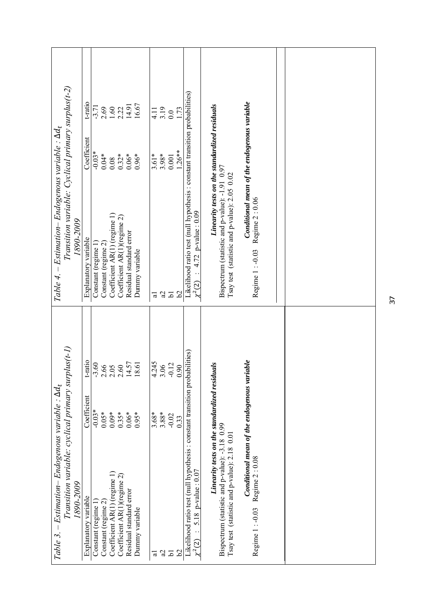| Transition variable: Cyclical primary surplus(t-2)<br>Table 4. – Estimation– Endogenous variable : $\Delta d_t$<br>1890-2009     | t-ratio<br>Coefficient<br>Explanatory variable | $-3.71$<br>$-0.03*$<br>Constant (regime 1) | $0.04*$<br>Constant (regime 2) | $\frac{2.69}{1.60}$<br>0.08<br>Coefficient AR(1) (regime 1) | $2.22$<br>14.91<br>$0.32*$<br>Coefficient AR(1)(regime 2) | $0.06*$<br>Residual standard error          | 16.67<br>$0.96*$<br>Dummy variable | 4.11<br>$3.61*$<br>ಸ | 3.19<br>3.98*<br>S,           | 0.001<br>$\overline{a}$ | $\frac{1}{1.73}$<br>$1.26***$<br>$\mathcal{S}$ | Likelihood ratio test (null hypothesis : constant transition probabilities)<br>4.72 p-value: 0.09<br>$\chi^2(2)$    | Linearity tests on the standardized residuals<br>Bispectrum (statistic and p-value): -1.91 0.97<br>Tsay test (statistic and p-value): 2.05 0.02 | Conditional mean of the endogenous variable<br>Regime 2:0.06<br>Regime 1: -0.03 |  |
|----------------------------------------------------------------------------------------------------------------------------------|------------------------------------------------|--------------------------------------------|--------------------------------|-------------------------------------------------------------|-----------------------------------------------------------|---------------------------------------------|------------------------------------|----------------------|-------------------------------|-------------------------|------------------------------------------------|---------------------------------------------------------------------------------------------------------------------|-------------------------------------------------------------------------------------------------------------------------------------------------|---------------------------------------------------------------------------------|--|
| Transition variable: cyclical primary surplus $(t-1)$<br>$-Estimation-Endogenous\ variable: \Delta d_t$<br>1890-2009<br>Table 3. | t-ratio<br>Coefficient<br>Explanatory variable | 3.60<br>$-0.03*$<br>Constant (regime 1)    | $0.05*$<br>Constant (regime 2) | $2.66$<br>$2.05$<br>$0.09*$<br>Coefficient AR(1) (regime 1) | 2.60<br>$0.35*$<br>Coefficient AR(1)(regime 2)            | 14.57<br>$0.06*$<br>Residual standard error | 8.61<br>$0.95*$<br>Dummy variable  | 4.245<br>ಸ           | 3.06<br>$3.68*$<br>3.88*<br>B | 0.12<br>$-0.02$<br>51   | 0.90<br>0.33<br>29                             | Likelihood ratio test (null hypothesis : constant transition probabilities)<br>p-value: 0.07<br>5.18<br>$\chi^2(2)$ | Linearity tests on the standardized residuals<br>Bispectrum (statistic and p-value): -3.18 0.99<br>Tsay test (statistic and p-value): 2.18 0.01 | Conditional mean of the endogenous variable<br>Regime 2:0.08<br>Regime 1: -0.03 |  |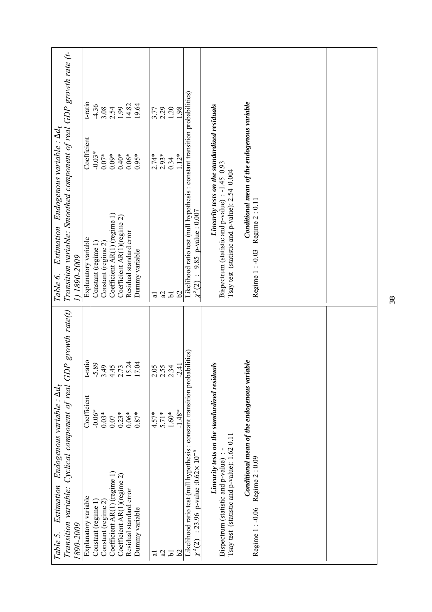|                                                           | Transition variable: Smoothed component of real GDP growth rate (t- | t-ratio<br>Coefficient | $-4.36$<br>$-0.03*$ | $0.07*$             | $0.09*$                      | $3.54$<br>$2.54$<br>$1.99$<br>$0.40*$ | 14.82<br>$0.06*$        | 19.64<br>$0.95*$ | 3.77<br>$2.74*$<br>2.93* | 2.29          | 1.20<br>0.34    | 98<br>$1.12*$   |                                                                                                                                        | Linearity tests on the standardized residuals                                                      | Conditional mean of the endogenous variable |  |
|-----------------------------------------------------------|---------------------------------------------------------------------|------------------------|---------------------|---------------------|------------------------------|---------------------------------------|-------------------------|------------------|--------------------------|---------------|-----------------|-----------------|----------------------------------------------------------------------------------------------------------------------------------------|----------------------------------------------------------------------------------------------------|---------------------------------------------|--|
| Table 6. – Estimation– Endogenous variable : $\Delta d_t$ | 0007-0681(1                                                         | Explanatory variable   | Constant (regime 1) | Constant (regime 2) | Coefficient AR(1) (regime 1) | Coefficient AR(1)(regime 2)           | Residual standard error | Dummy variable   | ಡ                        | S,            | $\overline{a}$  | $\mathcal{S}$   | Likelihood ratio test (null hypothesis : constant transition probabilities)<br>9.85 p-value: 0.007<br>$\chi^{2}(2)$                    | Bispectrum (statistic and p-value) $: -1.45$ 0.93<br>Tsay test (statistic and p-value): 2.54 0.004 | Regime 2:0.11<br>Regime 1: -0.03            |  |
|                                                           | Transition variable: Cyclical component of real GDP growth rate(t)  | t-ratio<br>Coefficient | 5.89<br>$-0.06*$    | 3.49<br>$0.03*$     | 4.45<br>0.07                 | 2.73<br>$0.23*$                       | 15.24<br>$0.06*$        | I7.04<br>$0.87*$ | 2.05<br>$4.57*$          | 2.55<br>5.71* | 2.34<br>$1.60*$ | 2.41<br>$1.48*$ |                                                                                                                                        | Linearity tests on the standardized residuals                                                      | Conditional mean of the endogenous variable |  |
| Table 5. – Estimation– Endogenous variable : $\Delta d_t$ | 1890-2009                                                           | Explanatory variable   | Constant (regime 1  | Constant (regime 2) | Coefficient AR(1) (regime 1) | Coefficient AR(1)(regime 2)           | Residual standard error | Dunnny variable  | ಸ                        | S,            | $\overline{a}$  | $\mathcal{S}$   | Likelihood ratio test (null hypothesis: constant transition probabilities)<br>: 23.96 p-value : $0.62 \times 10^{-5}$<br>$\chi^{2}(2)$ | Tsay test (statistic and p-value): 1.62 0.11<br>Bispectrum (statistic and p-value)                 | Regime 2:0.09<br>Regime 1: -0.06            |  |

38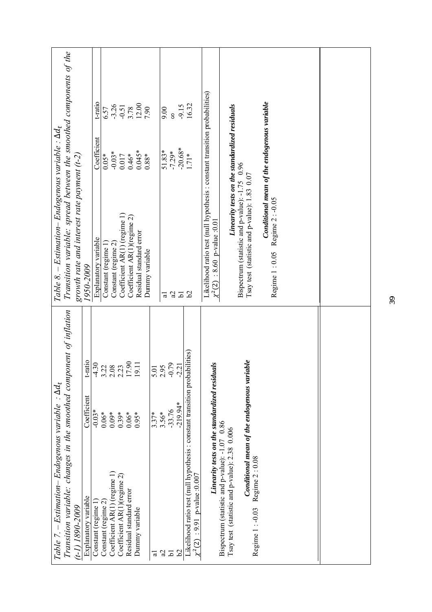| Table 7. – Estimation– Endogenous variable : $\Delta d_t$                                       |                                               |              | Table 8. – Estimation– Endogenous variable : $\Delta d_t$                                                           |                                               |                    |
|-------------------------------------------------------------------------------------------------|-----------------------------------------------|--------------|---------------------------------------------------------------------------------------------------------------------|-----------------------------------------------|--------------------|
| Transition variable: changes in the smoothed component of inflation                             |                                               |              | Transition variable: spread between the smoothed components of the                                                  |                                               |                    |
| $(1-1)$ 1890-2009                                                                               |                                               |              | growth rate and interest rate payment $(t-2)$                                                                       |                                               |                    |
| Explanatory variable                                                                            | Coefficient                                   | t-ratio      | 1950-2009                                                                                                           |                                               |                    |
| Constant (regime 1)                                                                             | $-0.03*$                                      | $-4.30$      | Explanatory variable                                                                                                | Coefficient                                   | t-ratio            |
| Constant (regime 2)                                                                             | $0.06*$                                       | 3.22         | Constant (regime 1                                                                                                  | $0.05*$                                       | 6.57               |
| Coefficient AR(1) (regime 1)                                                                    | $0.09*$                                       | 2.08         | Constant (regime 2)                                                                                                 | $-0.03*$                                      |                    |
| Coefficient AR(1)(regime 2)                                                                     | $0.39*$                                       | 2.23         | Coefficient AR(1) (regime 1)                                                                                        | 0.017                                         | $-3.26$<br>$-0.51$ |
| Residual standard error                                                                         | $0.06*$                                       | 17.90        | Coefficient AR(1)(regime 2)                                                                                         | $0.46*$                                       | 3.78               |
| Dummy variable                                                                                  | $0.95*$                                       | 19.11        | Residual standard error                                                                                             | $0.045*$                                      |                    |
|                                                                                                 |                                               |              | Dummy variable                                                                                                      | $0.88*$                                       | 12.00              |
| ಸ                                                                                               | $3.37*$                                       |              |                                                                                                                     |                                               |                    |
|                                                                                                 |                                               | 5.01<br>2.95 |                                                                                                                     |                                               |                    |
| S)                                                                                              | 3.56*                                         |              | ಡ                                                                                                                   | 51.83*                                        | 00.6               |
| 5                                                                                               | $-33.76$                                      | $-0.79$      |                                                                                                                     | $-7.29*$                                      | 8                  |
| 29                                                                                              | $-219.94*$                                    | $-2.21$      | 252                                                                                                                 | $-20.68*$                                     | $-9.15$            |
| Likelihood ratio test (null hypothesis : constant transition probabilities)                     |                                               |              |                                                                                                                     | $1.71*$                                       | 16.32              |
| $\chi^2(2)$ : 9.91 p-value :0.007                                                               |                                               |              |                                                                                                                     |                                               |                    |
|                                                                                                 | Linearity tests on the standardized residuals |              | Likelihood ratio test (null hypothesis : constant transition probabilities)<br>: 8.60 p-value : 0.01<br>$\chi^2(2)$ |                                               |                    |
| Bispectrum (statistic and p-value): -1.07 0.86<br>Tsay test (statistic and p-value): 2.38 0.006 |                                               |              |                                                                                                                     | Linearity tests on the standardized residuals |                    |
|                                                                                                 |                                               |              | Bispectrum (statistic and p-value): -1.75 0.96                                                                      |                                               |                    |
| Regime 1 : -0.03 Regime 2 : 0.08                                                                | Conditional mean of the endogenous variable   |              | Tsay test (statistic and p-value): 1.83 0.07                                                                        |                                               |                    |
|                                                                                                 |                                               |              |                                                                                                                     | Conditional mean of the endogenous variable   |                    |
|                                                                                                 |                                               |              | Regime 1:0.05 Regime 2:-0.05                                                                                        |                                               |                    |
|                                                                                                 |                                               |              |                                                                                                                     |                                               |                    |
|                                                                                                 |                                               |              |                                                                                                                     |                                               |                    |
|                                                                                                 |                                               |              |                                                                                                                     |                                               |                    |
|                                                                                                 |                                               |              |                                                                                                                     |                                               |                    |
|                                                                                                 |                                               |              |                                                                                                                     |                                               |                    |
|                                                                                                 |                                               |              |                                                                                                                     |                                               |                    |
|                                                                                                 |                                               |              |                                                                                                                     |                                               |                    |
|                                                                                                 |                                               |              |                                                                                                                     |                                               |                    |
|                                                                                                 |                                               |              |                                                                                                                     |                                               |                    |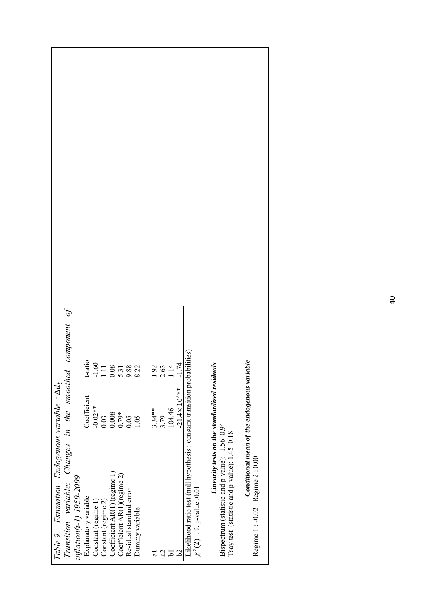|                                                           |                                                                                       | t-ratio              |                     |                     |                              | $-1.11$<br>$-1.38$<br>$-1.18$<br>$-1.38$<br>$-0.58$<br>$-0.22$ |                         |                 |           |      | $\frac{1}{2}$ .92<br>2.63<br>1.174 |                          |                                                                                                               |                                                                                                 |                                              |                                                                                 |
|-----------------------------------------------------------|---------------------------------------------------------------------------------------|----------------------|---------------------|---------------------|------------------------------|----------------------------------------------------------------|-------------------------|-----------------|-----------|------|------------------------------------|--------------------------|---------------------------------------------------------------------------------------------------------------|-------------------------------------------------------------------------------------------------|----------------------------------------------|---------------------------------------------------------------------------------|
|                                                           |                                                                                       | Coefficient          | $-0.02**$           | 0.03                | 0.008                        | 0.79*                                                          | 0.05                    | 1.05            | $3.34***$ | 3.79 | 104.46                             | $-21.4 \times 10^{2}$ ** |                                                                                                               |                                                                                                 |                                              |                                                                                 |
|                                                           |                                                                                       |                      |                     |                     |                              |                                                                |                         |                 |           |      |                                    |                          |                                                                                                               |                                                                                                 |                                              |                                                                                 |
| Table 9. – Estimation– Endogenous variable : $\Delta d_t$ | Transition variable: Changes in the smoothed component of<br>inflation(t-1) 1950-2009 | Explanatory variable | Constant (regime 1) | Constant (regime 2) | Coefficient AR(1) (regime 1) | Coefficient AR(1)(regime 2)                                    | Residual standard error | Dunnny variable |           | S)   | ه.                                 | 29                       | Likelihood ratio test (null hypothesis : constant transition probabilities)<br>$\chi^2(2)$ : 9. p-value :0.01 | Linearity tests on the standardized residuals<br>Bispectrum (statistic and p-value): -1.56 0.94 | Isay test (statistic and p-value): 1.45 0.18 | Conditional mean of the endogenous variable<br>Regime 1 : -0.02 Regime 2 : 0.00 |